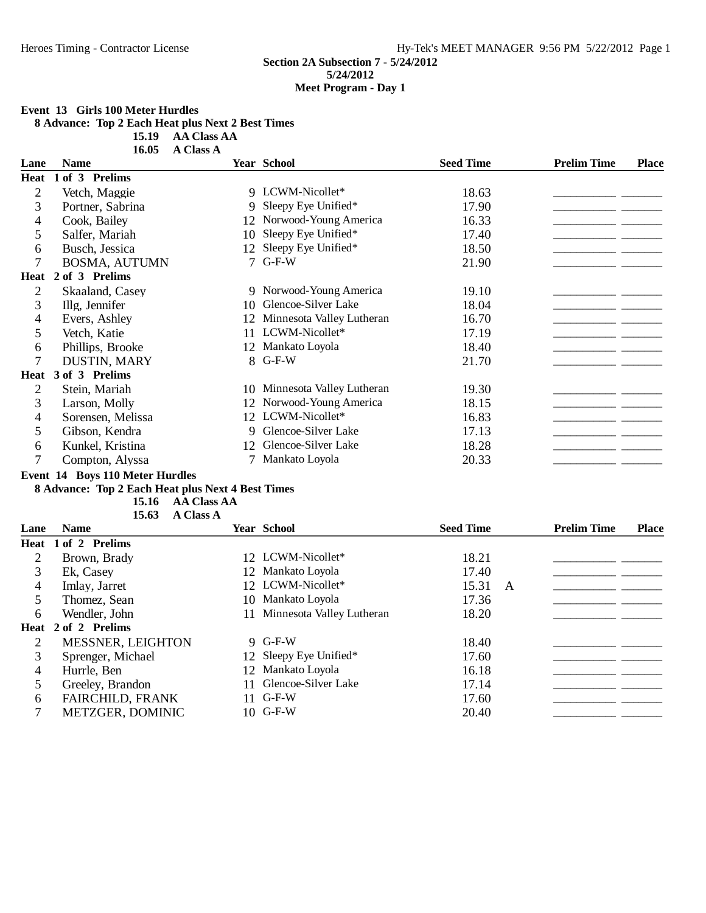#### **Event 13 Girls 100 Meter Hurdles**

**8 Advance: Top 2 Each Heat plus Next 2 Best Times**

**15.19 AA Class AA** 

| <b>Name</b>          |    |                           | <b>Seed Time</b>                                                                                                                                                                                                                                                            | <b>Prelim Time</b> | <b>Place</b> |
|----------------------|----|---------------------------|-----------------------------------------------------------------------------------------------------------------------------------------------------------------------------------------------------------------------------------------------------------------------------|--------------------|--------------|
| 1 of 3 Prelims       |    |                           |                                                                                                                                                                                                                                                                             |                    |              |
| Vetch, Maggie        |    |                           | 18.63                                                                                                                                                                                                                                                                       |                    |              |
| Portner, Sabrina     |    |                           | 17.90                                                                                                                                                                                                                                                                       |                    |              |
| Cook, Bailey         |    |                           | 16.33                                                                                                                                                                                                                                                                       |                    |              |
| Salfer, Mariah       | 10 | Sleepy Eye Unified*       | 17.40                                                                                                                                                                                                                                                                       |                    |              |
| Busch, Jessica       | 12 | Sleepy Eye Unified*       | 18.50                                                                                                                                                                                                                                                                       |                    |              |
| <b>BOSMA, AUTUMN</b> |    |                           | 21.90                                                                                                                                                                                                                                                                       |                    |              |
| 2 of 3 Prelims       |    |                           |                                                                                                                                                                                                                                                                             |                    |              |
| Skaaland, Casey      |    |                           | 19.10                                                                                                                                                                                                                                                                       |                    |              |
| Illg, Jennifer       |    |                           | 18.04                                                                                                                                                                                                                                                                       |                    |              |
| Evers, Ashley        | 12 | Minnesota Valley Lutheran | 16.70                                                                                                                                                                                                                                                                       |                    |              |
| Vetch, Katie         | 11 | LCWM-Nicollet*            | 17.19                                                                                                                                                                                                                                                                       |                    |              |
| Phillips, Brooke     |    |                           | 18.40                                                                                                                                                                                                                                                                       |                    |              |
| DUSTIN, MARY         |    |                           | 21.70                                                                                                                                                                                                                                                                       |                    |              |
| 3 of 3 Prelims       |    |                           |                                                                                                                                                                                                                                                                             |                    |              |
| Stein, Mariah        |    | Minnesota Valley Lutheran | 19.30                                                                                                                                                                                                                                                                       |                    |              |
| Larson, Molly        | 12 | Norwood-Young America     | 18.15                                                                                                                                                                                                                                                                       |                    |              |
| Sorensen, Melissa    |    |                           | 16.83                                                                                                                                                                                                                                                                       |                    |              |
| Gibson, Kendra       |    |                           | 17.13                                                                                                                                                                                                                                                                       |                    |              |
| Kunkel, Kristina     |    | Glencoe-Silver Lake       | 18.28                                                                                                                                                                                                                                                                       |                    |              |
| Compton, Alyssa      |    |                           | 20.33                                                                                                                                                                                                                                                                       |                    |              |
|                      |    |                           | <b>Year School</b><br>9 LCWM-Nicollet*<br>9 Sleepy Eye Unified*<br>12 Norwood-Young America<br>$7$ G-F-W<br>9 Norwood-Young America<br>10 Glencoe-Silver Lake<br>12 Mankato Loyola<br>8 G-F-W<br>10<br>12 LCWM-Nicollet*<br>9 Glencoe-Silver Lake<br>12<br>7 Mankato Loyola |                    |              |

#### **Event 14 Boys 110 Meter Hurdles**

## **8 Advance: Top 2 Each Heat plus Next 4 Best Times**

**15.16 AA Class AA A** Class A

| Lane | <b>Name</b>             | <b>Year School</b>           | <b>Seed Time</b> |   | <b>Prelim Time</b> | <b>Place</b> |
|------|-------------------------|------------------------------|------------------|---|--------------------|--------------|
|      | Heat 1 of 2 Prelims     |                              |                  |   |                    |              |
| 2    | Brown, Brady            | 12 LCWM-Nicollet*            | 18.21            |   |                    |              |
| 3    | Ek, Casey               | 12 Mankato Loyola            | 17.40            |   |                    |              |
| 4    | Imlay, Jarret           | 12 LCWM-Nicollet*            | 15.31            | A |                    |              |
|      | Thomez, Sean            | 10 Mankato Loyola            | 17.36            |   |                    |              |
| 6    | Wendler, John           | 11 Minnesota Valley Lutheran | 18.20            |   |                    |              |
|      | Heat 2 of 2 Prelims     |                              |                  |   |                    |              |
| 2    | MESSNER, LEIGHTON       | 9 G-F-W                      | 18.40            |   |                    |              |
| 3    | Sprenger, Michael       | 12 Sleepy Eye Unified*       | 17.60            |   |                    |              |
| 4    | Hurrle, Ben             | 12 Mankato Loyola            | 16.18            |   |                    |              |
|      | Greeley, Brandon        | 11 Glencoe-Silver Lake       | 17.14            |   |                    |              |
| 6    | <b>FAIRCHILD, FRANK</b> | $11$ G-F-W                   | 17.60            |   |                    |              |
|      | <b>METZGER, DOMINIC</b> | $10$ G-F-W                   | 20.40            |   |                    |              |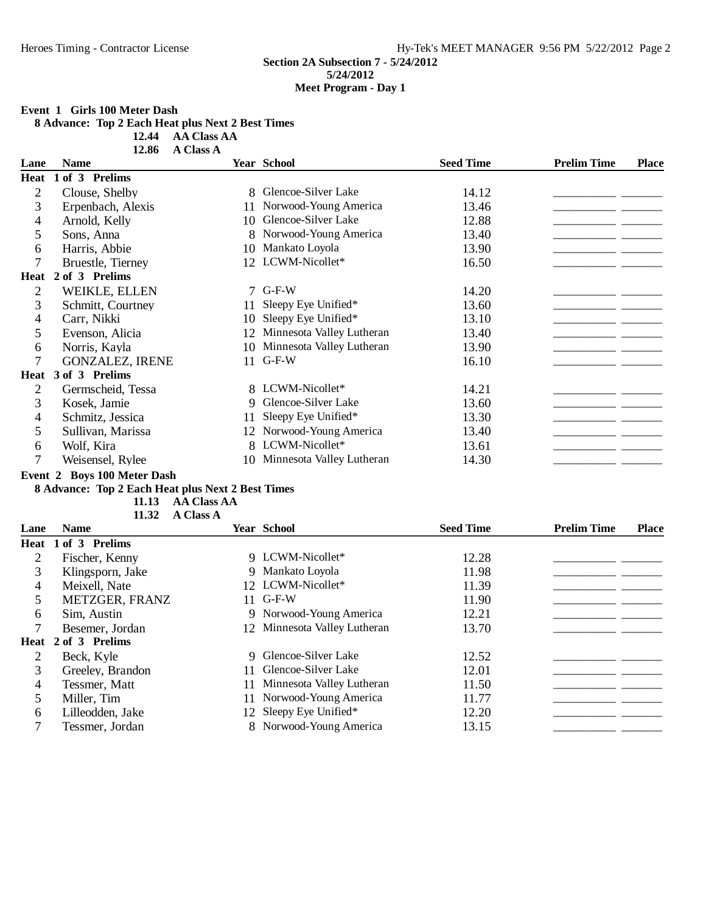#### **Event 1 Girls 100 Meter Dash**

**8 Advance: Top 2 Each Heat plus Next 2 Best Times**

**12.44 AA Class AA** 

|                | 12.86                  | A Class A |                              |                  |                    |              |
|----------------|------------------------|-----------|------------------------------|------------------|--------------------|--------------|
| Lane           | <b>Name</b>            |           | Year School                  | <b>Seed Time</b> | <b>Prelim Time</b> | <b>Place</b> |
| Heat           | of 3 Prelims           |           |                              |                  |                    |              |
| $\overline{2}$ | Clouse, Shelby         | 8.        | Glencoe-Silver Lake          | 14.12            |                    |              |
| 3              | Erpenbach, Alexis      | 11        | Norwood-Young America        | 13.46            |                    |              |
| 4              | Arnold, Kelly          | 10        | Glencoe-Silver Lake          | 12.88            |                    |              |
| 5              | Sons, Anna             | 8.        | Norwood-Young America        | 13.40            |                    |              |
| 6              | Harris, Abbie          | 10        | Mankato Loyola               | 13.90            |                    |              |
| 7              | Bruestle, Tierney      |           | 12 LCWM-Nicollet*            | 16.50            |                    |              |
| Heat           | 2 of 3 Prelims         |           |                              |                  |                    |              |
| 2              | WEIKLE, ELLEN          | 7         | $G-F-W$                      | 14.20            |                    |              |
| 3              | Schmitt, Courtney      | 11        | Sleepy Eye Unified*          | 13.60            |                    |              |
| 4              | Carr, Nikki            | 10        | Sleepy Eye Unified*          | 13.10            |                    |              |
| 5              | Evenson, Alicia        | 12        | Minnesota Valley Lutheran    | 13.40            |                    |              |
| 6              | Norris, Kayla          | 10        | Minnesota Valley Lutheran    | 13.90            |                    |              |
| 7              | <b>GONZALEZ, IRENE</b> | 11        | $G-F-W$                      | 16.10            |                    |              |
| Heat           | 3 of 3 Prelims         |           |                              |                  |                    |              |
| $\overline{2}$ | Germscheid, Tessa      |           | 8 LCWM-Nicollet*             | 14.21            |                    |              |
| 3              | Kosek, Jamie           | 9.        | Glencoe-Silver Lake          | 13.60            |                    |              |
| 4              | Schmitz, Jessica       | 11        | Sleepy Eye Unified*          | 13.30            |                    |              |
| 5              | Sullivan, Marissa      | 12        | Norwood-Young America        | 13.40            |                    |              |
| 6              | Wolf, Kira             |           | 8 LCWM-Nicollet*             | 13.61            |                    |              |
| 7              | Weisensel, Rylee       |           | 10 Minnesota Valley Lutheran | 14.30            |                    |              |

#### **Event 2 Boys 100 Meter Dash**

## **8 Advance: Top 2 Each Heat plus Next 2 Best Times**

**11.13 AA Class AA** 

**A** Class A

| Lane | <b>Name</b>         |    | <b>Year School</b>           | <b>Seed Time</b> | <b>Prelim Time</b> | <b>Place</b> |
|------|---------------------|----|------------------------------|------------------|--------------------|--------------|
|      | Heat 1 of 3 Prelims |    |                              |                  |                    |              |
| 2    | Fischer, Kenny      |    | 9 LCWM-Nicollet*             | 12.28            |                    |              |
| 3    | Klingsporn, Jake    |    | 9 Mankato Loyola             | 11.98            |                    |              |
| 4    | Meixell, Nate       |    | 12 LCWM-Nicollet*            | 11.39            |                    |              |
|      | METZGER, FRANZ      |    | 11 G-F-W                     | 11.90            |                    |              |
| 6    | Sim, Austin         |    | 9 Norwood-Young America      | 12.21            |                    |              |
|      | Besemer, Jordan     |    | 12 Minnesota Valley Lutheran | 13.70            |                    |              |
| Heat | 2 of 3 Prelims      |    |                              |                  |                    |              |
|      | Beck, Kyle          |    | 9 Glencoe-Silver Lake        | 12.52            |                    |              |
| 3    | Greeley, Brandon    | 11 | Glencoe-Silver Lake          | 12.01            |                    |              |
| 4    | Tessmer, Matt       | 11 | Minnesota Valley Lutheran    | 11.50            |                    |              |
| 5.   | Miller, Tim         |    | 11 Norwood-Young America     | 11.77            |                    |              |
| 6    | Lilleodden, Jake    |    | 12 Sleepy Eye Unified*       | 12.20            |                    |              |
|      | Tessmer, Jordan     |    | 8 Norwood-Young America      | 13.15            |                    |              |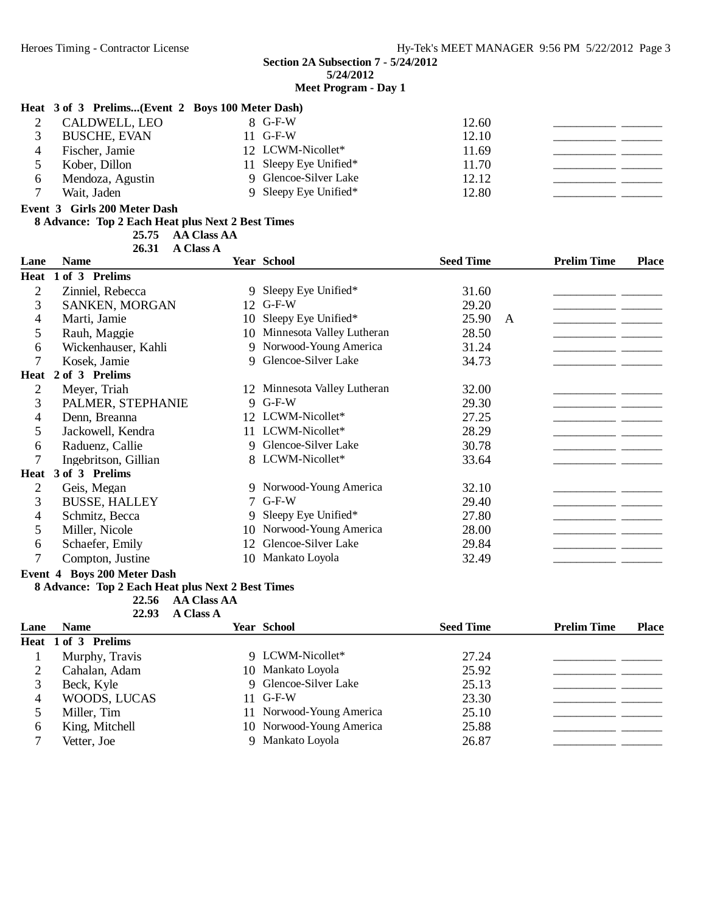#### **Heat 3 of 3 Prelims...(Event 2 Boys 100 Meter Dash)**

| CALDWELL, LEO<br><b>BUSCHE, EVAN</b> | $8$ G-F-W<br>$11$ G-F-W | 12.60<br>12.10 |  |
|--------------------------------------|-------------------------|----------------|--|
| Fischer, Jamie                       | 12 LCWM-Nicollet*       | 11.69          |  |
| Kober, Dillon                        | 11 Sleepy Eye Unified*  | 11.70          |  |
| Mendoza, Agustin                     | 9 Glencoe-Silver Lake   | 12.12          |  |
| Wait, Jaden                          | 9 Sleepy Eye Unified*   | 12.80          |  |

**Event 3 Girls 200 Meter Dash**

#### **8 Advance: Top 2 Each Heat plus Next 2 Best Times**

**AA Class AA** 

26.31 **A Class A** 

| Lane           | <b>Name</b>                                                                                                                                                                                                                                                                                                                                                                                              |             | <b>Year School</b>           | <b>Seed Time</b> |   | <b>Prelim Time</b> | <b>Place</b> |
|----------------|----------------------------------------------------------------------------------------------------------------------------------------------------------------------------------------------------------------------------------------------------------------------------------------------------------------------------------------------------------------------------------------------------------|-------------|------------------------------|------------------|---|--------------------|--------------|
|                | Heat 1 of 3 Prelims                                                                                                                                                                                                                                                                                                                                                                                      |             |                              |                  |   |                    |              |
| 2              | Zinniel, Rebecca                                                                                                                                                                                                                                                                                                                                                                                         | 9           | Sleepy Eye Unified*          | 31.60            |   |                    |              |
| 3              | SANKEN, MORGAN                                                                                                                                                                                                                                                                                                                                                                                           | 12          | $G-F-W$                      | 29.20            |   |                    |              |
| 4              | Marti, Jamie                                                                                                                                                                                                                                                                                                                                                                                             | 10          | Sleepy Eye Unified*          | 25.90            | A |                    |              |
| 5              | Rauh, Maggie                                                                                                                                                                                                                                                                                                                                                                                             | 10          | Minnesota Valley Lutheran    | 28.50            |   |                    |              |
| 6              | Wickenhauser, Kahli                                                                                                                                                                                                                                                                                                                                                                                      | 9           | Norwood-Young America        | 31.24            |   |                    |              |
| $\tau$         | Kosek, Jamie                                                                                                                                                                                                                                                                                                                                                                                             | 9           | Glencoe-Silver Lake          | 34.73            |   |                    |              |
| Heat           | 2 of 3 Prelims                                                                                                                                                                                                                                                                                                                                                                                           |             |                              |                  |   |                    |              |
| 2              | Meyer, Triah                                                                                                                                                                                                                                                                                                                                                                                             |             | 12 Minnesota Valley Lutheran | 32.00            |   |                    |              |
| 3              | PALMER, STEPHANIE                                                                                                                                                                                                                                                                                                                                                                                        |             | 9 G-F-W                      | 29.30            |   |                    |              |
| 4              | Denn, Breanna                                                                                                                                                                                                                                                                                                                                                                                            |             | 12 LCWM-Nicollet*            | 27.25            |   |                    |              |
| 5              | Jackowell, Kendra                                                                                                                                                                                                                                                                                                                                                                                        | 11          | LCWM-Nicollet*               | 28.29            |   |                    |              |
| 6              | Raduenz, Callie                                                                                                                                                                                                                                                                                                                                                                                          | $\mathbf Q$ | Glencoe-Silver Lake          | 30.78            |   |                    |              |
| 7              | Ingebritson, Gillian                                                                                                                                                                                                                                                                                                                                                                                     |             | 8 LCWM-Nicollet*             | 33.64            |   |                    |              |
| Heat           | 3 of 3 Prelims                                                                                                                                                                                                                                                                                                                                                                                           |             |                              |                  |   |                    |              |
| $\overline{2}$ | Geis, Megan                                                                                                                                                                                                                                                                                                                                                                                              |             | 9 Norwood-Young America      | 32.10            |   |                    |              |
| 3              | <b>BUSSE, HALLEY</b>                                                                                                                                                                                                                                                                                                                                                                                     | 7           | $G-F-W$                      | 29.40            |   |                    |              |
| 4              | Schmitz, Becca                                                                                                                                                                                                                                                                                                                                                                                           | 9           | Sleepy Eye Unified*          | 27.80            |   |                    |              |
| 5              | Miller, Nicole                                                                                                                                                                                                                                                                                                                                                                                           | 10          | Norwood-Young America        | 28.00            |   |                    |              |
| 6              | Schaefer, Emily                                                                                                                                                                                                                                                                                                                                                                                          | 12          | Glencoe-Silver Lake          | 29.84            |   |                    |              |
| 7              | Compton, Justine<br>$\overline{1}$ $\overline{1}$ $\overline{1}$ $\overline{1}$ $\overline{1}$ $\overline{1}$ $\overline{1}$ $\overline{1}$ $\overline{1}$ $\overline{1}$ $\overline{1}$ $\overline{1}$ $\overline{1}$ $\overline{1}$ $\overline{1}$ $\overline{1}$ $\overline{1}$ $\overline{1}$ $\overline{1}$ $\overline{1}$ $\overline{1}$ $\overline{1}$ $\overline{1}$ $\overline{1}$ $\overline{$ | 10.         | Mankato Loyola               | 32.49            |   |                    |              |

#### **Event 4 Boys 200 Meter Dash**

#### **8 Advance: Top 2 Each Heat plus Next 2 Best Times**

22.56 AA Class AA

| 22.93 | <b>A Class A</b> |  |
|-------|------------------|--|
|       |                  |  |

| Lane | <b>Name</b>         | <b>Year School</b>       | <b>Seed Time</b> | <b>Prelim Time</b> | <b>Place</b> |
|------|---------------------|--------------------------|------------------|--------------------|--------------|
|      | Heat 1 of 3 Prelims |                          |                  |                    |              |
|      | Murphy, Travis      | 9 LCWM-Nicollet*         | 27.24            |                    |              |
|      | Cahalan, Adam       | 10 Mankato Loyola        | 25.92            |                    |              |
| 3    | Beck, Kyle          | 9 Glencoe-Silver Lake    | 25.13            |                    |              |
| 4    | WOODS, LUCAS        | $11$ G-F-W               | 23.30            |                    |              |
|      | Miller, Tim         | 11 Norwood-Young America | 25.10            |                    |              |
| b    | King, Mitchell      | 10 Norwood-Young America | 25.88            |                    |              |
|      | Vetter, Joe         | 9 Mankato Loyola         | 26.87            |                    |              |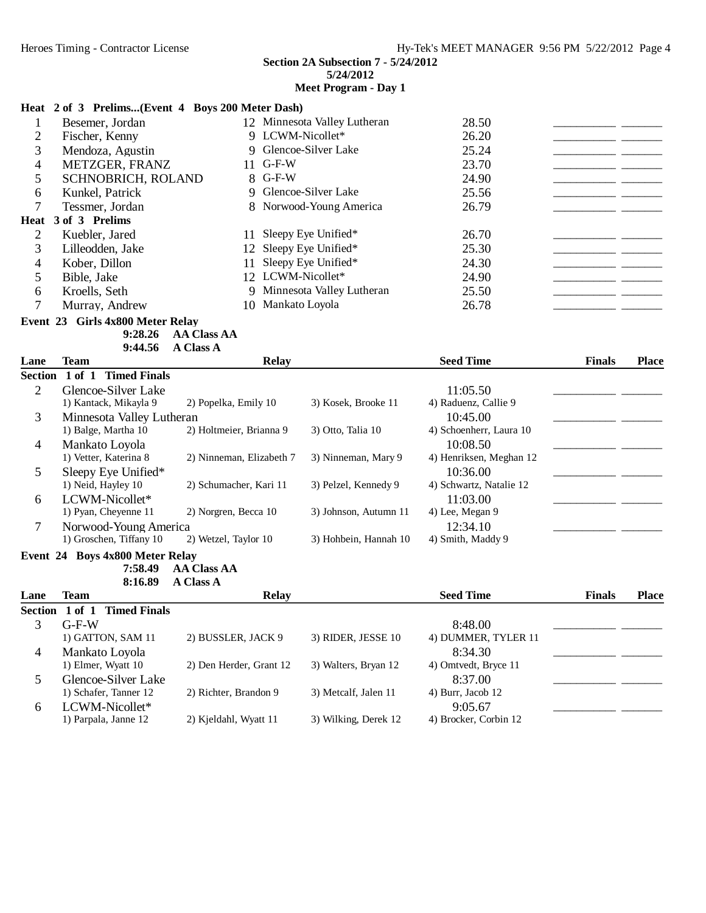# **Meet Program - Day 1**

|                |                                            | Heat 2 of 3 Prelims(Event 4 Boys 200 Meter Dash) |                              |                         |               |              |
|----------------|--------------------------------------------|--------------------------------------------------|------------------------------|-------------------------|---------------|--------------|
| 1              | Besemer, Jordan                            |                                                  | 12 Minnesota Valley Lutheran | 28.50                   |               |              |
| $\overline{2}$ | Fischer, Kenny                             |                                                  | 9 LCWM-Nicollet*             | 26.20                   |               |              |
| 3              | Mendoza, Agustin                           |                                                  | 9 Glencoe-Silver Lake        | 25.24                   |               |              |
| 4              | METZGER, FRANZ                             | $G-F-W$<br>11                                    |                              | 23.70                   |               |              |
| 5              | SCHNOBRICH, ROLAND                         | 8 G-F-W                                          |                              | 24.90                   | - -           |              |
| 6              | Kunkel, Patrick                            | 9                                                | Glencoe-Silver Lake          | 25.56                   |               |              |
| 7              | Tessmer, Jordan                            | 8                                                | Norwood-Young America        | 26.79                   |               |              |
| Heat           | 3 of 3 Prelims                             |                                                  |                              |                         |               |              |
| $\overline{2}$ | Kuebler, Jared                             | 11                                               | Sleepy Eye Unified*          | 26.70                   |               |              |
| 3              | Lilleodden, Jake                           | 12                                               | Sleepy Eye Unified*          | 25.30                   |               |              |
| 4              | Kober, Dillon                              | 11                                               | Sleepy Eye Unified*          | 24.30                   |               |              |
| 5              | Bible, Jake                                | 12 LCWM-Nicollet*                                |                              | 24.90                   |               |              |
| 6              | Kroells, Seth                              | 9                                                | Minnesota Valley Lutheran    | 25.50                   |               |              |
| 7              | Murray, Andrew                             | 10 <sup>1</sup>                                  | Mankato Loyola               | 26.78                   |               |              |
|                | Event 23 Girls 4x800 Meter Relay           |                                                  |                              |                         |               |              |
|                | 9:28.26                                    | <b>AA Class AA</b>                               |                              |                         |               |              |
|                | 9:44.56                                    | <b>A Class A</b>                                 |                              |                         |               |              |
| Lane           | Team                                       | <b>Relay</b>                                     |                              | <b>Seed Time</b>        | <b>Finals</b> | <b>Place</b> |
| <b>Section</b> | 1 of 1 Timed Finals                        |                                                  |                              |                         |               |              |
| $\overline{2}$ | Glencoe-Silver Lake                        |                                                  |                              | 11:05.50                |               |              |
|                | 1) Kantack, Mikayla 9                      | 2) Popelka, Emily 10                             | 3) Kosek, Brooke 11          | 4) Raduenz, Callie 9    |               |              |
| 3              | Minnesota Valley Lutheran                  |                                                  |                              | 10:45.00                |               |              |
|                | 1) Balge, Martha 10                        | 2) Holtmeier, Brianna 9                          | 3) Otto, Talia 10            | 4) Schoenherr, Laura 10 |               |              |
| 4              | Mankato Loyola                             |                                                  |                              | 10:08.50                |               |              |
|                | 1) Vetter, Katerina 8                      | 2) Ninneman, Elizabeth 7                         | 3) Ninneman, Mary 9          | 4) Henriksen, Meghan 12 |               |              |
| 5              | Sleepy Eye Unified*                        |                                                  |                              | 10:36.00                |               |              |
|                | 1) Neid, Hayley 10                         | 2) Schumacher, Kari 11                           | 3) Pelzel, Kennedy 9         | 4) Schwartz, Natalie 12 |               |              |
| 6              | LCWM-Nicollet*                             |                                                  |                              | 11:03.00                |               |              |
|                | 1) Pyan, Cheyenne 11                       | 2) Norgren, Becca 10                             | 3) Johnson, Autumn 11        | 4) Lee, Megan 9         |               |              |
| 7              | Norwood-Young America                      |                                                  |                              | 12:34.10                |               |              |
|                | 1) Groschen, Tiffany 10                    | 2) Wetzel, Taylor 10                             | 3) Hohbein, Hannah 10        | 4) Smith, Maddy 9       |               |              |
|                | Event 24 Boys 4x800 Meter Relay<br>7:58.49 | <b>AA Class AA</b>                               |                              |                         |               |              |
|                | 8:16.89                                    | A Class A                                        |                              |                         |               |              |
| Lane           | <b>Team</b>                                | <b>Relay</b>                                     |                              | <b>Seed Time</b>        | <b>Finals</b> | <b>Place</b> |
|                | Section 1 of 1 Timed Finals                |                                                  |                              |                         |               |              |
| 3              | $G-F-W$                                    |                                                  |                              | 8:48.00                 |               |              |
|                | 1) GATTON, SAM 11                          | 2) BUSSLER, JACK 9                               | 3) RIDER, JESSE 10           | 4) DUMMER, TYLER 11     |               |              |
| $\overline{4}$ | Mankato Loyola                             |                                                  |                              | 8:34.30                 |               |              |
|                | 1) Elmer, Wyatt 10                         | 2) Den Herder, Grant 12                          | 3) Walters, Bryan 12         | 4) Omtvedt, Bryce 11    |               |              |
| 5              | Glencoe-Silver Lake                        |                                                  |                              | 8:37.00                 |               |              |
|                | 1) Schafer, Tanner 12                      | 2) Richter, Brandon 9                            | 3) Metcalf, Jalen 11         | 4) Burr, Jacob 12       |               |              |
| 6              | LCWM-Nicollet*                             |                                                  |                              | 9:05.67                 |               |              |
|                | 1) Parpala, Janne 12                       | 2) Kjeldahl, Wyatt 11                            | 3) Wilking, Derek 12         | 4) Brocker, Corbin 12   |               |              |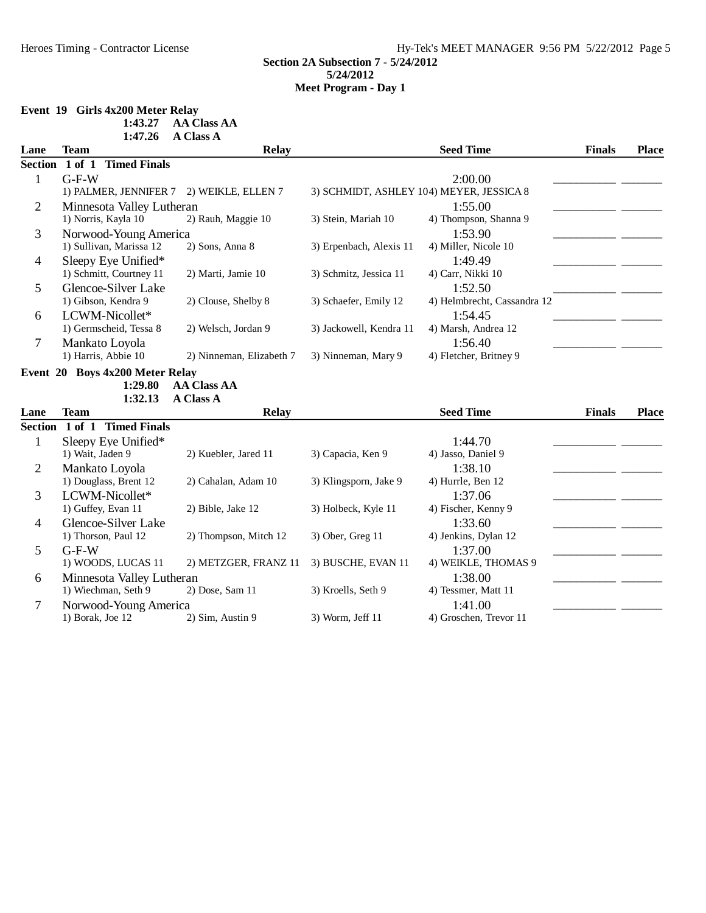## **Event 19 Girls 4x200 Meter Relay**

| 1:43.27 | <b>AA Class AA</b> |
|---------|--------------------|
|         |                    |

|                | 1:47.26                           | A Class A                |                         |                                          |               |              |
|----------------|-----------------------------------|--------------------------|-------------------------|------------------------------------------|---------------|--------------|
| Lane           | <b>Team</b>                       | <b>Relay</b>             |                         | <b>Seed Time</b>                         | <b>Finals</b> | <b>Place</b> |
|                | Section 1 of 1 Timed Finals       |                          |                         |                                          |               |              |
| $\mathbf{1}$   | $G-F-W$                           |                          |                         | 2:00.00                                  |               |              |
|                | 1) PALMER, JENNIFER 7             | 2) WEIKLE, ELLEN 7       |                         | 3) SCHMIDT, ASHLEY 104) MEYER, JESSICA 8 |               |              |
| $\overline{2}$ | Minnesota Valley Lutheran         |                          |                         | 1:55.00                                  |               |              |
|                | 1) Norris, Kayla 10               | 2) Rauh, Maggie 10       | 3) Stein, Mariah 10     | 4) Thompson, Shanna 9                    |               |              |
| 3              | Norwood-Young America             |                          |                         | 1:53.90                                  |               |              |
|                | 1) Sullivan, Marissa 12           | 2) Sons, Anna 8          | 3) Erpenbach, Alexis 11 | 4) Miller, Nicole 10                     |               |              |
| $\overline{4}$ | Sleepy Eye Unified*               |                          |                         | 1:49.49                                  |               |              |
|                | 1) Schmitt, Courtney 11           | 2) Marti, Jamie 10       | 3) Schmitz, Jessica 11  | 4) Carr, Nikki 10                        |               |              |
| 5              | Glencoe-Silver Lake               |                          |                         | 1:52.50                                  |               |              |
|                | 1) Gibson, Kendra 9               | 2) Clouse, Shelby 8      | 3) Schaefer, Emily 12   | 4) Helmbrecht, Cassandra 12              |               |              |
| 6              | LCWM-Nicollet*                    |                          |                         | 1:54.45                                  |               |              |
|                | 1) Germscheid, Tessa 8            | 2) Welsch, Jordan 9      | 3) Jackowell, Kendra 11 | 4) Marsh, Andrea 12                      |               |              |
| $\tau$         | Mankato Loyola                    |                          |                         | 1:56.40                                  |               |              |
|                | 1) Harris, Abbie 10               | 2) Ninneman, Elizabeth 7 | 3) Ninneman, Mary 9     | 4) Fletcher, Britney 9                   |               |              |
|                | Event 20 Boys 4x200 Meter Relay   |                          |                         |                                          |               |              |
|                | 1:29.80                           | <b>AA Class AA</b>       |                         |                                          |               |              |
|                | 1:32.13                           | <b>A Class A</b>         |                         |                                          |               |              |
| Lane           | <b>Team</b>                       | <b>Relay</b>             |                         | <b>Seed Time</b>                         | <b>Finals</b> | <b>Place</b> |
| <b>Section</b> | <b>Timed Finals</b><br>$1$ of $1$ |                          |                         |                                          |               |              |
| $\mathbf{1}$   | Sleepy Eye Unified*               |                          |                         | 1:44.70                                  |               |              |
|                | 1) Wait, Jaden 9                  | 2) Kuebler, Jared 11     | 3) Capacia, Ken 9       | 4) Jasso, Daniel 9                       |               |              |
| $\overline{2}$ | Mankato Loyola                    |                          |                         | 1:38.10                                  |               |              |
|                | 1) Douglass, Brent 12             | 2) Cahalan, Adam 10      | 3) Klingsporn, Jake 9   | 4) Hurrle, Ben 12                        |               |              |
| $\overline{3}$ | LCWM-Nicollet*                    |                          |                         | 1:37.06                                  |               |              |
|                | 1) Guffey, Evan 11                | 2) Bible, Jake 12        | 3) Holbeck, Kyle 11     | 4) Fischer, Kenny 9                      |               |              |
| $\overline{4}$ | Glencoe-Silver Lake               |                          |                         | 1:33.60                                  |               |              |
|                | 1) Thorson, Paul 12               | 2) Thompson, Mitch 12    | 3) Ober, Greg 11        | 4) Jenkins, Dylan 12                     |               |              |
| 5              | $G-F-W$                           |                          |                         | 1:37.00                                  |               |              |
|                | 1) WOODS, LUCAS 11                | 2) METZGER, FRANZ 11     | 3) BUSCHE, EVAN 11      | 4) WEIKLE, THOMAS 9                      |               |              |
| 6              | Minnesota Valley Lutheran         |                          |                         | 1:38.00                                  |               |              |
|                | 1) Wiechman, Seth 9               | 2) Dose, Sam 11          | 3) Kroells, Seth 9      | 4) Tessmer, Matt 11                      |               |              |
| $\tau$         | Norwood-Young America             |                          |                         | 1:41.00                                  |               |              |
|                | 1) Borak, Joe 12                  | 2) Sim, Austin 9         | 3) Worm, Jeff 11        | 4) Groschen, Trevor 11                   |               |              |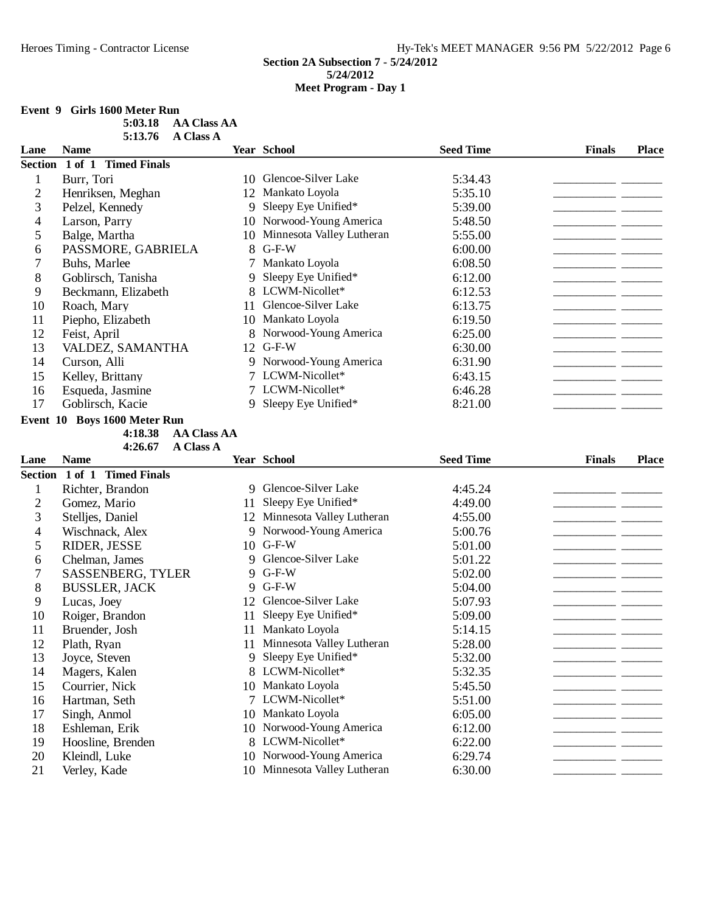# **Event 9 Girls 1600 Meter Run**

| 5:03.18 | AA Class AA      |
|---------|------------------|
| 5:13.76 | <b>A Class A</b> |

| Lane                     | <b>Name</b>                   |    | Year School                  | <b>Seed Time</b> | <b>Finals</b> | <b>Place</b> |
|--------------------------|-------------------------------|----|------------------------------|------------------|---------------|--------------|
|                          | Section 1 of 1 Timed Finals   |    |                              |                  |               |              |
| $\mathbf{1}$             | Burr, Tori                    |    | 10 Glencoe-Silver Lake       | 5:34.43          |               |              |
| $\overline{2}$           | Henriksen, Meghan             |    | 12 Mankato Loyola            | 5:35.10          |               |              |
| 3                        | Pelzel, Kennedy               | 9  | Sleepy Eye Unified*          | 5:39.00          |               |              |
| 4                        | Larson, Parry                 |    | 10 Norwood-Young America     | 5:48.50          |               |              |
| 5                        | Balge, Martha                 |    | 10 Minnesota Valley Lutheran | 5:55.00          |               |              |
| 6                        | PASSMORE, GABRIELA            | 8  | $G-F-W$                      | 6:00.00          |               |              |
| 7                        | Buhs, Marlee                  |    | Mankato Loyola               | 6:08.50          |               |              |
| 8                        | Goblirsch, Tanisha            | 9  | Sleepy Eye Unified*          | 6:12.00          |               |              |
| 9                        | Beckmann, Elizabeth           |    | 8 LCWM-Nicollet*             | 6:12.53          |               |              |
| 10                       | Roach, Mary                   | 11 | Glencoe-Silver Lake          | 6:13.75          |               |              |
| 11                       | Piepho, Elizabeth             |    | 10 Mankato Loyola            | 6:19.50          | - -           |              |
| 12                       | Feist, April                  |    | 8 Norwood-Young America      | 6:25.00          |               |              |
| 13                       | VALDEZ, SAMANTHA              |    | 12 G-F-W                     | 6:30.00          | - -           |              |
| 14                       | Curson, Alli                  |    | 9 Norwood-Young America      | 6:31.90          |               |              |
| 15                       | Kelley, Brittany              |    | 7 LCWM-Nicollet*             | 6:43.15          |               |              |
| 16                       | Esqueda, Jasmine              |    | 7 LCWM-Nicollet*             | 6:46.28          |               |              |
| 17                       | Goblirsch, Kacie              | 9  | Sleepy Eye Unified*          | 8:21.00          |               |              |
|                          | Event 10 Boys 1600 Meter Run  |    |                              |                  |               |              |
|                          | 4:18.38<br><b>AA Class AA</b> |    |                              |                  |               |              |
|                          | 4:26.67<br><b>A Class A</b>   |    |                              |                  |               |              |
| Lane                     | <b>Name</b>                   |    | Year School                  | <b>Seed Time</b> | <b>Finals</b> | <b>Place</b> |
|                          | Section 1 of 1 Timed Finals   |    |                              |                  |               |              |
| $\mathbf{1}$             | Richter, Brandon              |    | 9 Glencoe-Silver Lake        | 4:45.24          |               |              |
| $\overline{2}$           | Gomez, Mario                  | 11 | Sleepy Eye Unified*          | 4:49.00          |               |              |
| 3                        | Stelljes, Daniel              |    | 12 Minnesota Valley Lutheran | 4:55.00          |               |              |
| $\overline{\mathcal{L}}$ | Wischnack, Alex               | 9  | Norwood-Young America        | 5:00.76          |               |              |
| 5                        | RIDER, JESSE                  |    | 10 G-F-W                     | 5:01.00          |               |              |
| 6                        | Chelman, James                | 9  | Glencoe-Silver Lake          | 5:01.22          |               |              |
| $\boldsymbol{7}$         | <b>SASSENBERG, TYLER</b>      |    | 9 G-F-W                      | 5:02.00          |               |              |
| 8                        | <b>BUSSLER, JACK</b>          | 9  | $G-F-W$                      | 5:04.00          |               |              |
| 9                        | Lucas, Joey                   | 12 | Glencoe-Silver Lake          | 5:07.93          |               |              |
| 10                       | Roiger, Brandon               | 11 | Sleepy Eye Unified*          | 5:09.00          |               |              |
| 11                       | Bruender, Josh                | 11 | Mankato Loyola               | 5:14.15          |               |              |
| 12                       | Plath, Ryan                   |    | 11 Minnesota Valley Lutheran | 5:28.00          |               |              |
| 13                       | Joyce, Steven                 | 9  | Sleepy Eye Unified*          | 5:32.00          |               |              |
| 14                       | Magers, Kalen                 |    | 8 LCWM-Nicollet*             | 5:32.35          |               |              |
| 15                       | Courrier, Nick                |    | 10 Mankato Loyola            | 5:45.50          |               |              |
| 16                       | Hartman, Seth                 |    | 7 LCWM-Nicollet*             | 5:51.00          |               |              |
| 17                       | Singh, Anmol                  | 10 | Mankato Loyola               | 6:05.00          |               |              |
| 18                       | Eshleman, Erik                | 10 | Norwood-Young America        | 6:12.00          |               |              |
| 19                       | Hoosline, Brenden             | 8  | LCWM-Nicollet*               | 6:22.00          |               |              |
| 20                       | Kleindl, Luke                 | 10 | Norwood-Young America        | 6:29.74          |               |              |
| 21                       | Verley, Kade                  |    | 10 Minnesota Valley Lutheran | 6:30.00          |               |              |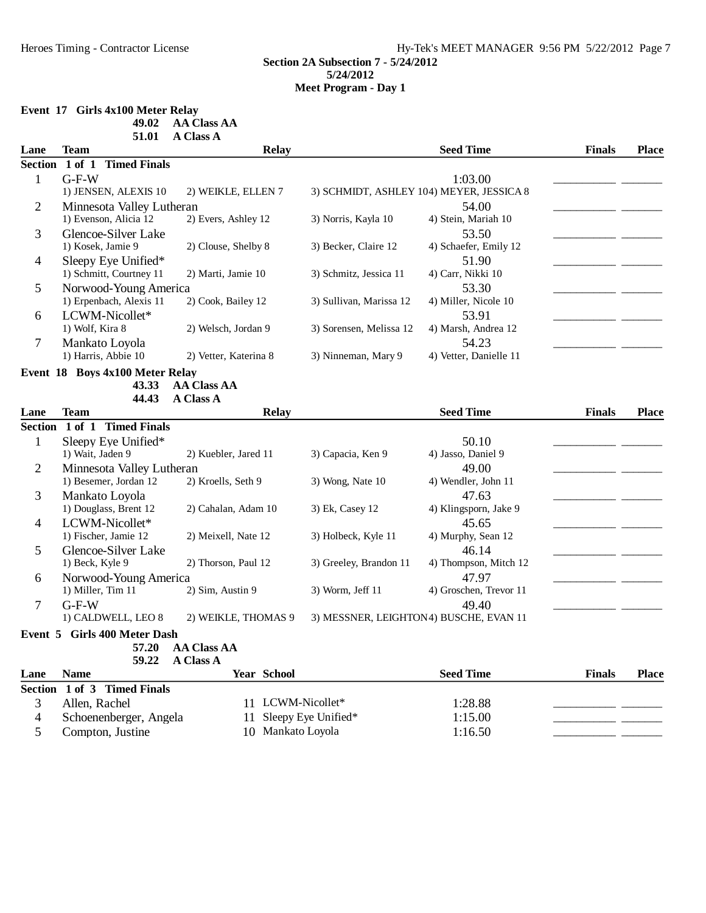# **Event 17 Girls 4x100 Meter Relay**

**49.02 AA Class AA** 

|                | 51.01                           | <b>A Class A</b>      |                                        |                                          |               |              |
|----------------|---------------------------------|-----------------------|----------------------------------------|------------------------------------------|---------------|--------------|
| Lane           | Team                            | Relay                 |                                        | <b>Seed Time</b>                         | <b>Finals</b> | <b>Place</b> |
| <b>Section</b> | 1 of 1 Timed Finals             |                       |                                        |                                          |               |              |
| $\mathbf{1}$   | $G-F-W$                         |                       |                                        | 1:03.00                                  |               |              |
|                | 1) JENSEN, ALEXIS 10            | 2) WEIKLE, ELLEN 7    |                                        | 3) SCHMIDT, ASHLEY 104) MEYER, JESSICA 8 |               |              |
| $\mathbf{2}$   | Minnesota Valley Lutheran       |                       |                                        | 54.00                                    |               |              |
|                | 1) Evenson, Alicia 12           | 2) Evers, Ashley 12   | 3) Norris, Kayla 10                    | 4) Stein, Mariah 10                      |               |              |
| 3              | Glencoe-Silver Lake             |                       |                                        | 53.50                                    |               |              |
|                | 1) Kosek, Jamie 9               | 2) Clouse, Shelby 8   | 3) Becker, Claire 12                   | 4) Schaefer, Emily 12                    |               |              |
| $\overline{4}$ | Sleepy Eye Unified*             |                       |                                        | 51.90                                    |               |              |
|                | 1) Schmitt, Courtney 11         | 2) Marti, Jamie 10    | 3) Schmitz, Jessica 11                 | 4) Carr, Nikki 10                        |               |              |
| 5              | Norwood-Young America           |                       |                                        | 53.30                                    |               |              |
|                | 1) Erpenbach, Alexis 11         | 2) Cook, Bailey 12    | 3) Sullivan, Marissa 12                | 4) Miller, Nicole 10                     |               |              |
| 6              | LCWM-Nicollet*                  |                       |                                        | 53.91                                    |               |              |
|                | 1) Wolf, Kira 8                 | 2) Welsch, Jordan 9   | 3) Sorensen, Melissa 12                | 4) Marsh, Andrea 12                      |               |              |
| $\tau$         | Mankato Loyola                  |                       |                                        | 54.23                                    |               |              |
|                | 1) Harris, Abbie 10             | 2) Vetter, Katerina 8 | 3) Ninneman, Mary 9                    | 4) Vetter, Danielle 11                   |               |              |
|                | Event 18 Boys 4x100 Meter Relay |                       |                                        |                                          |               |              |
|                | 43.33                           | <b>AA Class AA</b>    |                                        |                                          |               |              |
|                | 44.43                           | <b>A Class A</b>      |                                        |                                          |               |              |
| Lane           | Team                            | <b>Relay</b>          |                                        | <b>Seed Time</b>                         | <b>Finals</b> | <b>Place</b> |
|                | Section 1 of 1 Timed Finals     |                       |                                        |                                          |               |              |
| $\mathbf 1$    | Sleepy Eye Unified*             |                       |                                        | 50.10                                    |               |              |
|                | 1) Wait, Jaden 9                | 2) Kuebler, Jared 11  | 3) Capacia, Ken 9                      | 4) Jasso, Daniel 9                       |               |              |
| $\overline{2}$ | Minnesota Valley Lutheran       |                       |                                        | 49.00                                    |               |              |
|                | 1) Besemer, Jordan 12           | 2) Kroells, Seth 9    | 3) Wong, Nate 10                       | 4) Wendler, John 11                      |               |              |
| 3              | Mankato Loyola                  |                       |                                        | 47.63                                    |               |              |
|                | 1) Douglass, Brent 12           | 2) Cahalan, Adam 10   | 3) Ek, Casey 12                        | 4) Klingsporn, Jake 9                    |               |              |
| $\overline{4}$ | LCWM-Nicollet*                  |                       |                                        | 45.65                                    |               |              |
|                | 1) Fischer, Jamie 12            | 2) Meixell, Nate 12   | 3) Holbeck, Kyle 11                    | 4) Murphy, Sean 12                       |               |              |
| 5              | Glencoe-Silver Lake             |                       |                                        | 46.14                                    |               |              |
|                | 1) Beck, Kyle 9                 | 2) Thorson, Paul 12   | 3) Greeley, Brandon 11                 | 4) Thompson, Mitch 12                    |               |              |
| 6              | Norwood-Young America           |                       |                                        | 47.97                                    |               |              |
|                | 1) Miller, Tim 11               | 2) Sim, Austin 9      | 3) Worm, Jeff 11                       | 4) Groschen, Trevor 11                   |               |              |
| $\overline{7}$ | $G-F-W$                         |                       |                                        | 49.40                                    |               |              |
|                | 1) CALDWELL, LEO 8              | 2) WEIKLE, THOMAS 9   | 3) MESSNER, LEIGHTON4) BUSCHE, EVAN 11 |                                          |               |              |
|                | Event 5 Girls 400 Meter Dash    |                       |                                        |                                          |               |              |
|                | 57.20                           | <b>AA Class AA</b>    |                                        |                                          |               |              |
|                | 59.22                           | A Class A             |                                        |                                          |               |              |
| Lane           | <b>Name</b>                     | <b>Year School</b>    |                                        | <b>Seed Time</b>                         | <b>Finals</b> | <b>Place</b> |

| Section 1 of 3 Timed Finals |                        |         |
|-----------------------------|------------------------|---------|
| Allen, Rachel               | 11 LCWM-Nicollet*      | 1:28.88 |
| Schoenenberger, Angela      | 11 Sleepy Eye Unified* | 1:15.00 |
| Compton, Justine            | 10 Mankato Loyola      | 1:16.50 |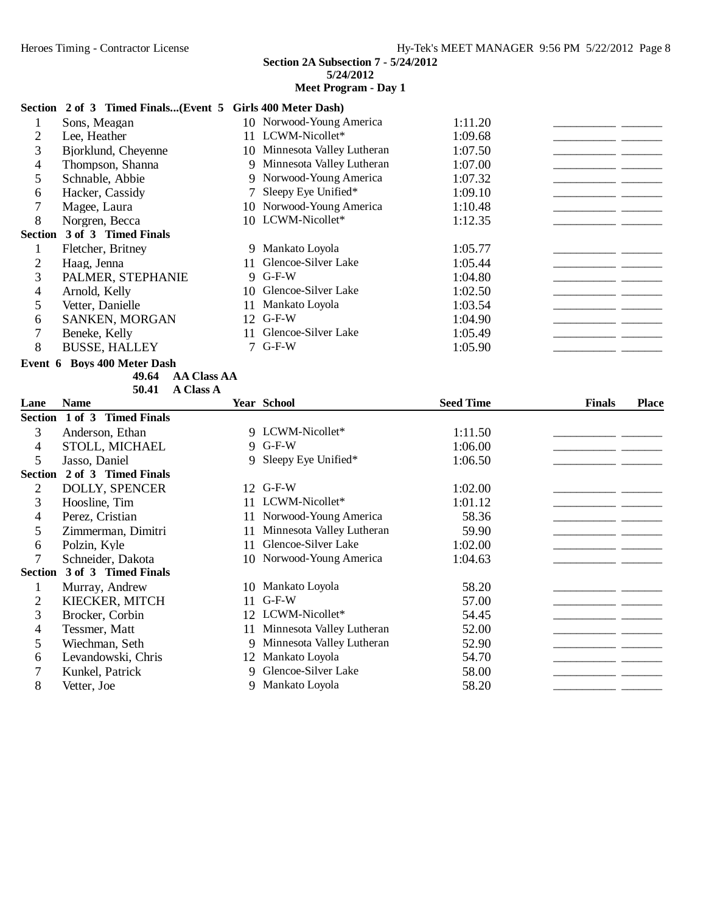#### **Meet Program - Day 1**

#### **Section 2 of 3 Timed Finals...(Event 5 Girls 400 Meter Dash)**

|                | Sons, Meagan                |     | 10 Norwood-Young America     | 1:11.20 |
|----------------|-----------------------------|-----|------------------------------|---------|
| $\overline{2}$ | Lee, Heather                |     | 11 LCWM-Nicollet*            | 1:09.68 |
| 3              | Bjorklund, Cheyenne         |     | 10 Minnesota Valley Lutheran | 1:07.50 |
| 4              | Thompson, Shanna            |     | 9 Minnesota Valley Lutheran  | 1:07.00 |
| 5              | Schnable, Abbie             |     | 9 Norwood-Young America      | 1:07.32 |
| 6              | Hacker, Cassidy             |     | 7 Sleepy Eye Unified*        | 1:09.10 |
|                | Magee, Laura                |     | 10 Norwood-Young America     | 1:10.48 |
| 8              | Norgren, Becca              |     | 10 LCWM-Nicollet*            | 1:12.35 |
|                | Section 3 of 3 Timed Finals |     |                              |         |
|                | Fletcher, Britney           |     | 9 Mankato Loyola             | 1:05.77 |
| 2              | Haag, Jenna                 | 11. | Glencoe-Silver Lake          | 1:05.44 |
| 3              | PALMER, STEPHANIE           |     | 9 G-F-W                      | 1:04.80 |
| 4              | Arnold, Kelly               | 10  | Glencoe-Silver Lake          | 1:02.50 |
|                | Vetter, Danielle            | 11  | Mankato Loyola               | 1:03.54 |
| 6              | SANKEN, MORGAN              |     | 12 G-F-W                     | 1:04.90 |
|                | Beneke, Kelly               | 11  | Glencoe-Silver Lake          | 1:05.49 |
| 8              | <b>BUSSE, HALLEY</b>        |     | $7$ G-F-W                    | 1:05.90 |
|                |                             |     |                              |         |

#### **Event 6 Boys 400 Meter Dash**

**49.64** AA Class AA 50.41 A Class A

| Lane           | <b>Name</b>                 |    | <b>Year School</b>        | <b>Seed Time</b> | <b>Finals</b> | <b>Place</b> |
|----------------|-----------------------------|----|---------------------------|------------------|---------------|--------------|
|                | Section 1 of 3 Timed Finals |    |                           |                  |               |              |
| 3              | Anderson, Ethan             |    | 9 LCWM-Nicollet*          | 1:11.50          |               |              |
| 4              | STOLL, MICHAEL              |    | 9 G-F-W                   | 1:06.00          |               |              |
| 5              | Jasso, Daniel               |    | 9 Sleepy Eye Unified*     | 1:06.50          |               |              |
| <b>Section</b> | 2 of 3 Timed Finals         |    |                           |                  |               |              |
| 2              | <b>DOLLY, SPENCER</b>       | 12 | $G-F-W$                   | 1:02.00          |               |              |
| 3              | Hoosline, Tim               | 11 | LCWM-Nicollet*            | 1:01.12          |               |              |
| 4              | Perez, Cristian             | 11 | Norwood-Young America     | 58.36            |               |              |
| 5              | Zimmerman, Dimitri          | 11 | Minnesota Valley Lutheran | 59.90            |               |              |
| 6              | Polzin, Kyle                | 11 | Glencoe-Silver Lake       | 1:02.00          |               |              |
| 7              | Schneider, Dakota           | 10 | Norwood-Young America     | 1:04.63          |               |              |
| <b>Section</b> | 3 of 3 Timed Finals         |    |                           |                  |               |              |
| 1              | Murray, Andrew              | 10 | Mankato Loyola            | 58.20            |               |              |
| 2              | KIECKER, MITCH              | 11 | $G-F-W$                   | 57.00            |               |              |
| 3              | Brocker, Corbin             |    | 12 LCWM-Nicollet*         | 54.45            |               |              |
| 4              | Tessmer, Matt               | 11 | Minnesota Valley Lutheran | 52.00            |               |              |
| 5              | Wiechman, Seth              |    | Minnesota Valley Lutheran | 52.90            |               |              |
| 6              | Levandowski, Chris          |    | 12 Mankato Loyola         | 54.70            |               |              |
|                | Kunkel, Patrick             |    | Glencoe-Silver Lake       | 58.00            |               |              |
| 8              | Vetter, Joe                 |    | 9 Mankato Loyola          | 58.20            |               |              |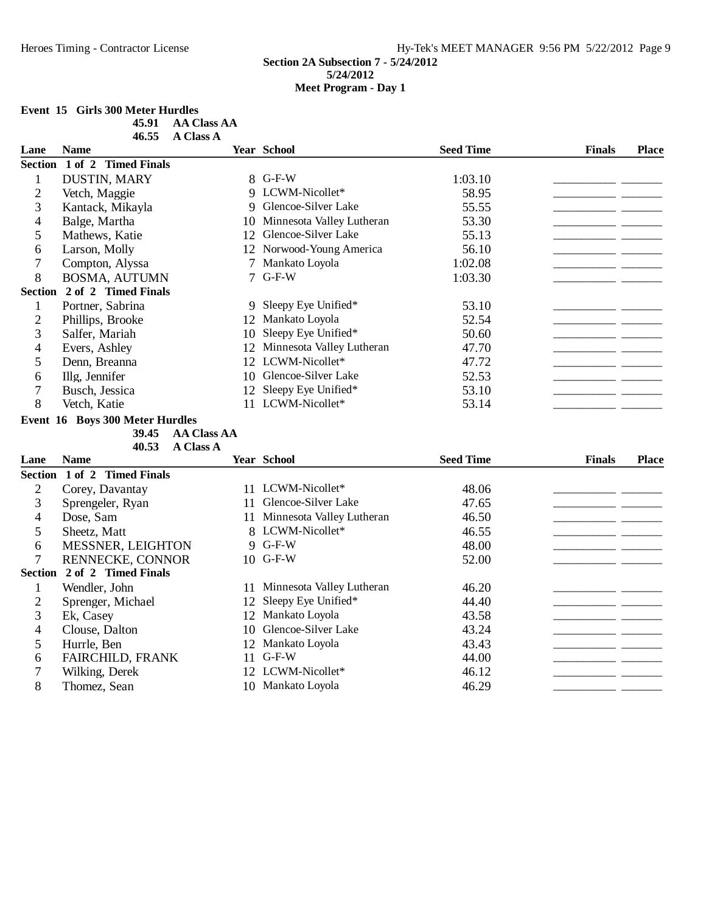## **Event 15 Girls 300 Meter Hurdles**

| 45.91 | AA Class AA      |
|-------|------------------|
| 46.55 | <b>A Class A</b> |

| Lane           | <b>Name</b>                     |             | <b>Year School</b>           | <b>Seed Time</b> | <b>Finals</b> | <b>Place</b> |
|----------------|---------------------------------|-------------|------------------------------|------------------|---------------|--------------|
|                | Section 1 of 2 Timed Finals     |             |                              |                  |               |              |
| $\mathbf{1}$   | <b>DUSTIN, MARY</b>             |             | 8 G-F-W                      | 1:03.10          |               |              |
| $\overline{2}$ | Vetch, Maggie                   |             | 9 LCWM-Nicollet*             | 58.95            |               |              |
| 3              | Kantack, Mikayla                |             | 9 Glencoe-Silver Lake        | 55.55            |               |              |
| 4              | Balge, Martha                   | 10          | Minnesota Valley Lutheran    | 53.30            |               |              |
| 5              | Mathews, Katie                  | 12          | Glencoe-Silver Lake          | 55.13            |               |              |
| 6              | Larson, Molly                   |             | 12 Norwood-Young America     | 56.10            |               |              |
| 7              | Compton, Alyssa                 | $7^{\circ}$ | Mankato Loyola               | 1:02.08          |               |              |
| 8              | BOSMA, AUTUMN                   | 7           | $G-F-W$                      | 1:03.30          |               |              |
|                | Section 2 of 2 Timed Finals     |             |                              |                  |               |              |
| $\mathbf{1}$   | Portner, Sabrina                | 9           | Sleepy Eye Unified*          | 53.10            |               |              |
| $\overline{2}$ | Phillips, Brooke                |             | 12 Mankato Loyola            | 52.54            |               |              |
| 3              | Salfer, Mariah                  | 10          | Sleepy Eye Unified*          | 50.60            |               |              |
| 4              | Evers, Ashley                   |             | 12 Minnesota Valley Lutheran | 47.70            |               |              |
| 5              | Denn, Breanna                   |             | 12 LCWM-Nicollet*            | 47.72            |               |              |
| 6              | Illg, Jennifer                  |             | 10 Glencoe-Silver Lake       | 52.53            |               |              |
| $\overline{7}$ | Busch, Jessica                  |             | 12 Sleepy Eye Unified*       | 53.10            |               |              |
| 8              | Vetch, Katie                    |             | 11 LCWM-Nicollet*            | 53.14            |               |              |
|                | Event 16 Boys 300 Meter Hurdles |             |                              |                  |               |              |
|                | 39.45<br><b>AA Class AA</b>     |             |                              |                  |               |              |
|                | 40.53<br><b>A Class A</b>       |             |                              |                  |               |              |
| Lane           | <b>Name</b>                     |             | Year School                  | <b>Seed Time</b> | <b>Finals</b> | <b>Place</b> |
|                | Section 1 of 2 Timed Finals     |             |                              |                  |               |              |
| $\overline{c}$ | Corey, Davantay                 |             | 11 LCWM-Nicollet*            | 48.06            |               |              |
| 3              | Sprengeler, Ryan                | 11          | Glencoe-Silver Lake          | 47.65            |               |              |
| 4              | Dose, Sam                       |             | 11 Minnesota Valley Lutheran | 46.50            |               |              |
| 5              | Sheetz, Matt                    |             | 8 LCWM-Nicollet*             | 46.55            |               |              |
| 6              | MESSNER, LEIGHTON               |             | 9 G-F-W                      | 48.00            |               |              |
| $\overline{7}$ | RENNECKE, CONNOR                |             | 10 G-F-W                     | 52.00            |               |              |
|                | Section 2 of 2 Timed Finals     |             |                              |                  |               |              |
| $\mathbf{1}$   | Wendler, John                   | 11          | Minnesota Valley Lutheran    | 46.20            |               |              |
| $\overline{c}$ | Sprenger, Michael               | 12          | Sleepy Eye Unified*          | 44.40            |               |              |
| 3              | Ek, Casey                       |             | 12 Mankato Loyola            | 43.58            |               |              |
| 4              | Clouse, Dalton                  | 10          | Glencoe-Silver Lake          | 43.24            |               |              |
| 5              | Hurrle, Ben                     |             | 12 Mankato Loyola            | 43.43            |               |              |
| 6              | <b>FAIRCHILD, FRANK</b>         | 11          | $G-F-W$                      | 44.00            |               |              |
| $\tau$         | Wilking, Derek                  |             | 12 LCWM-Nicollet*            | 46.12            |               |              |
| 8              | Thomez, Sean                    |             | 10 Mankato Loyola            | 46.29            |               |              |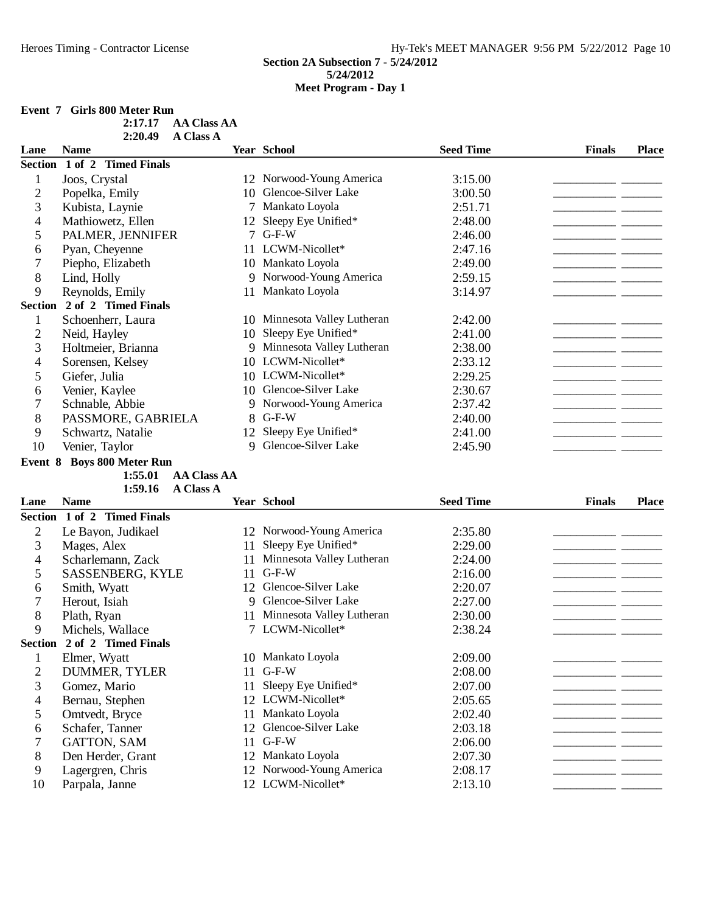## **Event 7 Girls 800 Meter Run**

| 2:17.17 | AA Class AA |
|---------|-------------|
| 2:20.49 | A Class A   |

| Lane           | <b>Name</b>                 |    | Year School                  | <b>Seed Time</b> | <b>Finals</b><br><b>Place</b> |
|----------------|-----------------------------|----|------------------------------|------------------|-------------------------------|
|                | Section 1 of 2 Timed Finals |    |                              |                  |                               |
|                | Joos, Crystal               |    | 12 Norwood-Young America     | 3:15.00          |                               |
| $\overline{2}$ | Popelka, Emily              | 10 | Glencoe-Silver Lake          | 3:00.50          |                               |
| 3              | Kubista, Laynie             |    | Mankato Loyola               | 2:51.71          |                               |
| 4              | Mathiowetz, Ellen           | 12 | Sleepy Eye Unified*          | 2:48.00          |                               |
| 5              | PALMER, JENNIFER            |    | $G-F-W$                      | 2:46.00          |                               |
| 6              | Pyan, Cheyenne              |    | 11 LCWM-Nicollet*            | 2:47.16          |                               |
|                | Piepho, Elizabeth           |    | 10 Mankato Loyola            | 2:49.00          |                               |
| 8              | Lind, Holly                 | 9  | Norwood-Young America        | 2:59.15          |                               |
| 9              | Reynolds, Emily             | 11 | Mankato Loyola               | 3:14.97          |                               |
| <b>Section</b> | 2 of 2 Timed Finals         |    |                              |                  |                               |
|                | Schoenherr, Laura           |    | 10 Minnesota Valley Lutheran | 2:42.00          |                               |
| 2              | Neid, Hayley                | 10 | Sleepy Eye Unified*          | 2:41.00          |                               |
| 3              | Holtmeier, Brianna          | 9  | Minnesota Valley Lutheran    | 2:38.00          |                               |
| 4              | Sorensen, Kelsey            |    | 10 LCWM-Nicollet*            | 2:33.12          |                               |
| 5              | Giefer, Julia               |    | 10 LCWM-Nicollet*            | 2:29.25          |                               |
| 6              | Venier, Kaylee              | 10 | Glencoe-Silver Lake          | 2:30.67          |                               |
| 7              | Schnable, Abbie             | 9  | Norwood-Young America        | 2:37.42          |                               |
| 8              | PASSMORE, GABRIELA          | 8. | $G-F-W$                      | 2:40.00          |                               |
| 9              | Schwartz, Natalie           | 12 | Sleepy Eye Unified*          | 2:41.00          |                               |
| 10             | Venier, Taylor              | 9  | Glencoe-Silver Lake          | 2:45.90          |                               |

## **Event 8 Boys 800 Meter Run**

**AA Class AA 1:59.16 A Class A** 

| Lane           | <b>Name</b>                 |    | <b>Year School</b>        | <b>Seed Time</b> | <b>Finals</b> | <b>Place</b> |
|----------------|-----------------------------|----|---------------------------|------------------|---------------|--------------|
|                | Section 1 of 2 Timed Finals |    |                           |                  |               |              |
| 2              | Le Bayon, Judikael          |    | 12 Norwood-Young America  | 2:35.80          |               |              |
| 3              | Mages, Alex                 | 11 | Sleepy Eye Unified*       | 2:29.00          |               |              |
| 4              | Scharlemann, Zack           | 11 | Minnesota Valley Lutheran | 2:24.00          |               |              |
| 5              | SASSENBERG, KYLE            | 11 | $G-F-W$                   | 2:16.00          |               |              |
| 6              | Smith, Wyatt                | 12 | Glencoe-Silver Lake       | 2:20.07          |               |              |
|                | Herout, Isiah               | 9  | Glencoe-Silver Lake       | 2:27.00          |               |              |
| 8              | Plath, Ryan                 | 11 | Minnesota Valley Lutheran | 2:30.00          |               |              |
| 9              | Michels, Wallace            |    | 7 LCWM-Nicollet*          | 2:38.24          |               |              |
| <b>Section</b> | 2 of 2 Timed Finals         |    |                           |                  |               |              |
|                | Elmer, Wyatt                |    | 10 Mankato Loyola         | 2:09.00          |               |              |
| 2              | DUMMER, TYLER               | 11 | $G-F-W$                   | 2:08.00          |               |              |
| 3              | Gomez, Mario                | 11 | Sleepy Eye Unified*       | 2:07.00          |               |              |
| 4              | Bernau, Stephen             |    | 12 LCWM-Nicollet*         | 2:05.65          |               |              |
| 5              | Omtvedt, Bryce              | 11 | Mankato Loyola            | 2:02.40          |               |              |
| 6              | Schafer, Tanner             | 12 | Glencoe-Silver Lake       | 2:03.18          |               |              |
|                | GATTON, SAM                 | 11 | $G-F-W$                   | 2:06.00          |               |              |
| 8              | Den Herder, Grant           |    | 12 Mankato Loyola         | 2:07.30          |               |              |
| 9              | Lagergren, Chris            | 12 | Norwood-Young America     | 2:08.17          |               |              |
| 10             | Parpala, Janne              |    | 12 LCWM-Nicollet*         | 2:13.10          |               |              |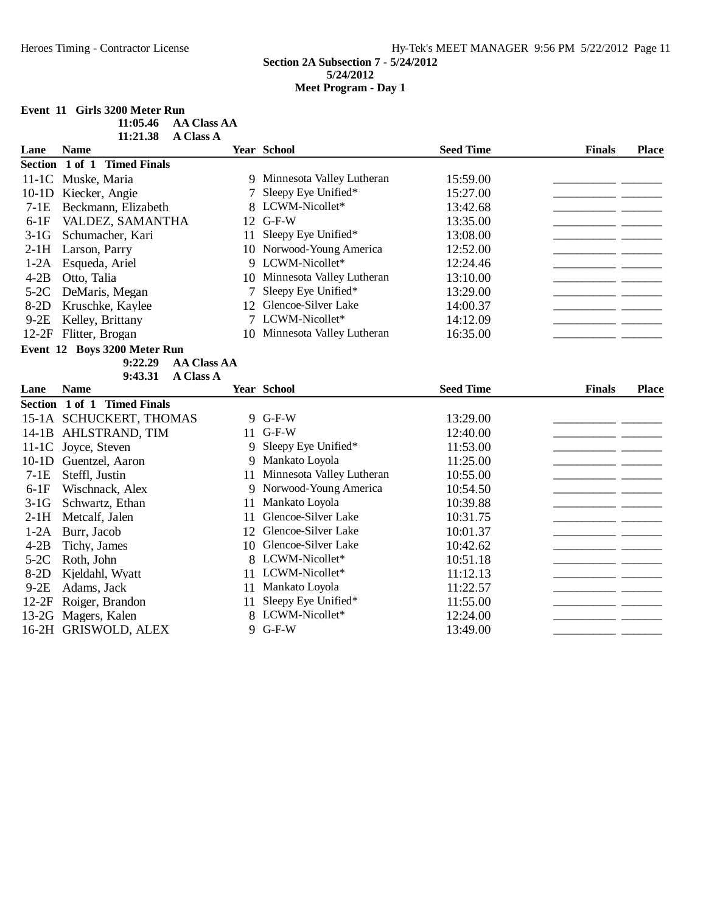#### **Event 11 Girls 3200 Meter Run**

| 11:05.46 | AA Class AA |
|----------|-------------|
| 11:21.38 | A Class A   |

| Lane    | <b>Name</b>                   |    | <b>Year School</b>           | <b>Seed Time</b> | <b>Finals</b> | <b>Place</b> |
|---------|-------------------------------|----|------------------------------|------------------|---------------|--------------|
|         | Section 1 of 1 Timed Finals   |    |                              |                  |               |              |
|         | 11-1C Muske, Maria            |    | 9 Minnesota Valley Lutheran  | 15:59.00         |               |              |
|         | 10-1D Kiecker, Angie          | 7  | Sleepy Eye Unified*          | 15:27.00         |               |              |
| $7-1E$  | Beckmann, Elizabeth           |    | 8 LCWM-Nicollet*             | 13:42.68         |               |              |
| $6-1F$  | VALDEZ, SAMANTHA              |    | 12 G-F-W                     | 13:35.00         |               |              |
| $3-1G$  | Schumacher, Kari              | 11 | Sleepy Eye Unified*          | 13:08.00         |               |              |
| $2-1H$  | Larson, Parry                 |    | 10 Norwood-Young America     | 12:52.00         |               |              |
| $1-2A$  | Esqueda, Ariel                |    | 9 LCWM-Nicollet*             | 12:24.46         |               |              |
| $4-2B$  | Otto, Talia                   |    | 10 Minnesota Valley Lutheran | 13:10.00         |               |              |
| $5-2C$  | DeMaris, Megan                | 7  | Sleepy Eye Unified*          | 13:29.00         |               |              |
| $8-2D$  | Kruschke, Kaylee              |    | 12 Glencoe-Silver Lake       | 14:00.37         |               |              |
| $9-2E$  | Kelley, Brittany              |    | 7 LCWM-Nicollet*             | 14:12.09         |               |              |
|         | 12-2F Flitter, Brogan         |    | 10 Minnesota Valley Lutheran | 16:35.00         |               |              |
|         | Event 12 Boys 3200 Meter Run  |    |                              |                  |               |              |
|         | 9:22.29<br><b>AA Class AA</b> |    |                              |                  |               |              |
|         | 9:43.31<br><b>A Class A</b>   |    |                              |                  |               |              |
| Lane    | <b>Name</b>                   |    | <b>Year School</b>           | <b>Seed Time</b> | <b>Finals</b> | <b>Place</b> |
|         | Section 1 of 1 Timed Finals   |    |                              |                  |               |              |
|         | 15-1A SCHUCKERT, THOMAS       |    | 9 G-F-W                      | 13:29.00         |               |              |
|         | 14-1B AHLSTRAND, TIM          | 11 | $G-F-W$                      | 12:40.00         |               |              |
|         | 11-1C Joyce, Steven           | 9  | Sleepy Eye Unified*          | 11:53.00         |               |              |
| $10-1D$ | Guentzel, Aaron               | 9  | Mankato Loyola               | 11:25.00         |               |              |
| $7-1E$  | Steffl, Justin                | 11 | Minnesota Valley Lutheran    | 10:55.00         |               |              |
| $6-1F$  | Wischnack, Alex               | 9  | Norwood-Young America        | 10:54.50         |               |              |
| $3-1G$  | Schwartz, Ethan               | 11 | Mankato Loyola               | 10:39.88         |               |              |
| $2-1H$  | Metcalf, Jalen                | 11 | Glencoe-Silver Lake          | 10:31.75         |               |              |
| $1-2A$  | Burr, Jacob                   | 12 | Glencoe-Silver Lake          | 10:01.37         |               |              |
| $4-2B$  | Tichy, James                  | 10 | Glencoe-Silver Lake          | 10:42.62         |               |              |
| $5-2C$  | Roth, John                    |    | 8 LCWM-Nicollet*             | 10:51.18         |               |              |
| $8-2D$  | Kjeldahl, Wyatt               | 11 | LCWM-Nicollet*               | 11:12.13         |               |              |
| $9-2E$  | Adams, Jack                   | 11 | Mankato Loyola               | 11:22.57         |               |              |
| $12-2F$ | Roiger, Brandon               | 11 | Sleepy Eye Unified*          | 11:55.00         |               |              |
| $13-2G$ | Magers, Kalen                 |    | LCWM-Nicollet*               | 12:24.00         |               |              |
|         | 16-2H GRISWOLD, ALEX          |    | 9 G-F-W                      | 13:49.00         |               |              |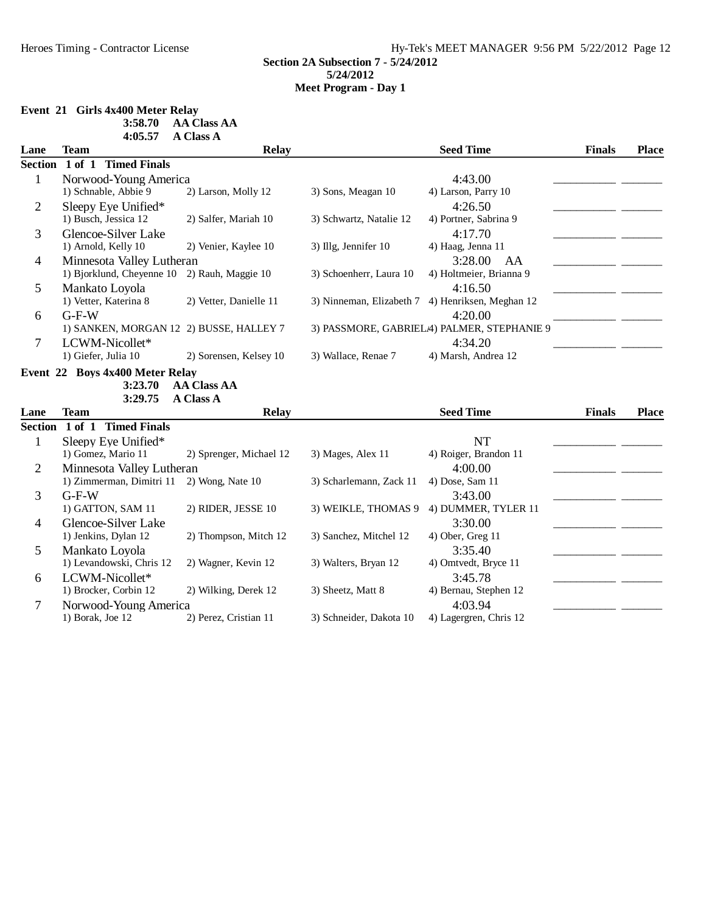#### **Event 21 Girls 4x400 Meter Relay**

| 3:58.70 | <b>AA Class AA</b> |  |
|---------|--------------------|--|
|         |                    |  |
|         |                    |  |
|         |                    |  |
|         |                    |  |
|         |                    |  |
|         |                    |  |
|         |                    |  |
|         |                    |  |
|         |                    |  |
|         |                    |  |
|         |                    |  |

|                | 4:05.57                                 | A Class A               |                          |                                            |               |              |
|----------------|-----------------------------------------|-------------------------|--------------------------|--------------------------------------------|---------------|--------------|
| Lane           | <b>Team</b>                             | <b>Relay</b>            |                          | <b>Seed Time</b>                           | <b>Finals</b> | <b>Place</b> |
| <b>Section</b> | 1 of 1 Timed Finals                     |                         |                          |                                            |               |              |
| $\mathbf{1}$   | Norwood-Young America                   |                         |                          | 4:43.00                                    |               |              |
|                | 1) Schnable, Abbie 9                    | 2) Larson, Molly 12     | 3) Sons, Meagan 10       | 4) Larson, Parry 10                        |               |              |
| $\overline{2}$ | Sleepy Eye Unified*                     |                         |                          | 4:26.50                                    |               |              |
|                | 1) Busch, Jessica 12                    | 2) Salfer, Mariah 10    | 3) Schwartz, Natalie 12  | 4) Portner, Sabrina 9                      |               |              |
| 3              | Glencoe-Silver Lake                     |                         |                          | 4:17.70                                    |               |              |
|                | 1) Arnold, Kelly 10                     | 2) Venier, Kaylee 10    | 3) Illg, Jennifer 10     | 4) Haag, Jenna 11                          |               |              |
| 4              | Minnesota Valley Lutheran               |                         |                          | 3:28.00<br>AA                              |               |              |
|                | 1) Bjorklund, Cheyenne 10               | 2) Rauh, Maggie 10      | 3) Schoenherr, Laura 10  | 4) Holtmeier, Brianna 9                    |               |              |
| 5              | Mankato Loyola                          |                         |                          | 4:16.50                                    |               |              |
|                | 1) Vetter, Katerina 8                   | 2) Vetter, Danielle 11  | 3) Ninneman, Elizabeth 7 | 4) Henriksen, Meghan 12                    |               |              |
| 6              | $G-F-W$                                 |                         |                          | 4:20.00                                    |               |              |
|                | 1) SANKEN, MORGAN 12 2) BUSSE, HALLEY 7 |                         |                          | 3) PASSMORE, GABRIELA) PALMER, STEPHANIE 9 |               |              |
| 7              | LCWM-Nicollet*                          |                         |                          | 4:34.20                                    |               |              |
|                | 1) Giefer, Julia 10                     | 2) Sorensen, Kelsey 10  | 3) Wallace, Renae 7      | 4) Marsh, Andrea 12                        |               |              |
|                | Event 22 Boys 4x400 Meter Relay         |                         |                          |                                            |               |              |
|                | 3:23.70                                 | <b>AA Class AA</b>      |                          |                                            |               |              |
|                | 3:29.75                                 | <b>A Class A</b>        |                          |                                            |               |              |
| Lane           | <b>Team</b>                             | <b>Relay</b>            |                          | <b>Seed Time</b>                           | <b>Finals</b> | Place        |
| <b>Section</b> | <b>Timed Finals</b><br>$1$ of $1$       |                         |                          |                                            |               |              |
| $\mathbf{1}$   | Sleepy Eye Unified*                     |                         |                          | <b>NT</b>                                  |               |              |
|                | 1) Gomez, Mario 11                      | 2) Sprenger, Michael 12 | 3) Mages, Alex 11        | 4) Roiger, Brandon 11                      |               |              |
| $\overline{2}$ | Minnesota Valley Lutheran               |                         |                          | 4:00.00                                    |               |              |
|                | 1) Zimmerman, Dimitri 11                | 2) Wong, Nate 10        | 3) Scharlemann, Zack 11  | 4) Dose, Sam 11                            |               |              |
| 3              | $G-F-W$                                 |                         |                          | 3:43.00                                    |               |              |
|                | 1) GATTON, SAM 11                       | 2) RIDER, JESSE 10      | 3) WEIKLE, THOMAS 9      | 4) DUMMER, TYLER 11                        |               |              |
| $\overline{4}$ | Glencoe-Silver Lake                     |                         |                          | 3:30.00                                    |               |              |
|                | 1) Jenkins, Dylan 12                    | 2) Thompson, Mitch 12   | 3) Sanchez, Mitchel 12   | 4) Ober, Greg 11                           |               |              |
| 5              | Mankato Loyola                          |                         |                          | 3:35.40                                    |               |              |
|                | 1) Levandowski, Chris 12                | 2) Wagner, Kevin 12     | 3) Walters, Bryan 12     | 4) Omtvedt, Bryce 11                       |               |              |
| 6              | LCWM-Nicollet*                          |                         |                          | 3:45.78                                    |               |              |
|                | 1) Brocker, Corbin 12                   | 2) Wilking, Derek 12    | 3) Sheetz, Matt 8        | 4) Bernau, Stephen 12                      |               |              |
| 7              | Norwood-Young America                   |                         |                          | 4:03.94                                    |               |              |
|                | 1) Borak, Joe 12                        | 2) Perez, Cristian 11   | 3) Schneider, Dakota 10  | 4) Lagergren, Chris 12                     |               |              |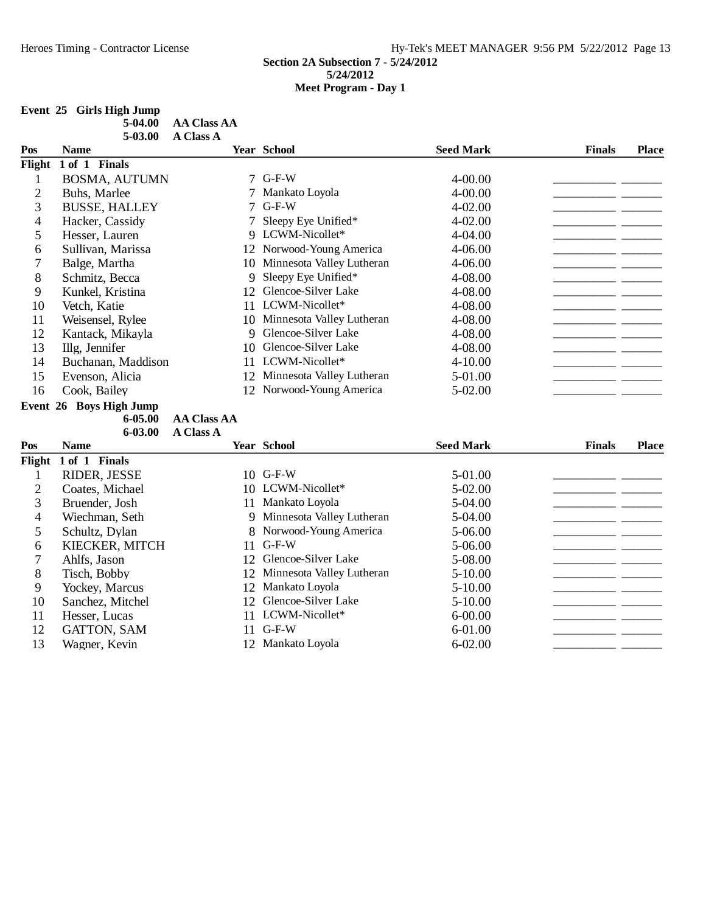## **Event 25 Girls High Jump**

| 5-04.00 | AA Class AA |
|---------|-------------|
| 5-03.00 | A Class A   |

| Pos            | <b>Name</b>             |                    | Year School                  | <b>Seed Mark</b> | <b>Finals</b> | <b>Place</b> |
|----------------|-------------------------|--------------------|------------------------------|------------------|---------------|--------------|
| Flight         | 1 of 1 Finals           |                    |                              |                  |               |              |
| 1              | <b>BOSMA, AUTUMN</b>    |                    | $7$ G-F-W                    | 4-00.00          |               |              |
| $\overline{c}$ | Buhs, Marlee            | 7                  | Mankato Loyola               | $4 - 00.00$      |               |              |
| 3              | <b>BUSSE, HALLEY</b>    | $\tau$             | $G-F-W$                      | $4 - 02.00$      |               |              |
| 4              | Hacker, Cassidy         | 7                  | Sleepy Eye Unified*          | $4 - 02.00$      |               |              |
| 5              | Hesser, Lauren          |                    | 9 LCWM-Nicollet*             | 4-04.00          |               |              |
| 6              | Sullivan, Marissa       |                    | 12 Norwood-Young America     | 4-06.00          |               |              |
| 7              | Balge, Martha           |                    | 10 Minnesota Valley Lutheran | 4-06.00          |               |              |
| 8              | Schmitz, Becca          | 9                  | Sleepy Eye Unified*          | 4-08.00          |               |              |
| 9              | Kunkel, Kristina        |                    | 12 Glencoe-Silver Lake       | 4-08.00          |               |              |
| 10             | Vetch, Katie            |                    | 11 LCWM-Nicollet*            | 4-08.00          |               |              |
| 11             | Weisensel, Rylee        |                    | 10 Minnesota Valley Lutheran | 4-08.00          |               |              |
| 12             | Kantack, Mikayla        | 9                  | Glencoe-Silver Lake          | 4-08.00          |               |              |
| 13             | Illg, Jennifer          | 10                 | Glencoe-Silver Lake          | 4-08.00          |               |              |
| 14             | Buchanan, Maddison      |                    | 11 LCWM-Nicollet*            | 4-10.00          |               |              |
| 15             | Evenson, Alicia         | 12                 | Minnesota Valley Lutheran    | 5-01.00          |               |              |
| 16             | Cook, Bailey            | 12                 | Norwood-Young America        | 5-02.00          |               |              |
|                | Event 26 Boys High Jump |                    |                              |                  |               |              |
|                | $6 - 05.00$             | <b>AA Class AA</b> |                              |                  |               |              |
|                | 6-03.00                 | <b>A Class A</b>   |                              |                  |               |              |
| Pos            | <b>Name</b>             |                    | <b>Year School</b>           | <b>Seed Mark</b> | <b>Finals</b> | <b>Place</b> |
| Flight         | 1 of 1 Finals           |                    |                              |                  |               |              |
| $\mathbf{1}$   | RIDER, JESSE            |                    | 10 G-F-W                     | 5-01.00          |               |              |
| 2              | Coates, Michael         |                    | 10 LCWM-Nicollet*            | 5-02.00          |               |              |
| 3              | Bruender, Josh          | 11                 | Mankato Loyola               | 5-04.00          |               |              |
| 4              | Wiechman, Seth          | 9                  | Minnesota Valley Lutheran    | 5-04.00          |               |              |
| 5              | Schultz, Dylan          | 8                  | Norwood-Young America        | 5-06.00          |               |              |
| 6              | KIECKER, MITCH          | 11                 | $G-F-W$                      | 5-06.00          |               |              |
| 7              | Ahlfs, Jason            | 12                 | Glencoe-Silver Lake          | 5-08.00          |               |              |
| 8              | Tisch, Bobby            | 12                 | Minnesota Valley Lutheran    | 5-10.00          |               |              |
| 9              | Yockey, Marcus          | 12                 | Mankato Loyola               | 5-10.00          |               |              |
| 10             | Sanchez, Mitchel        | 12                 | Glencoe-Silver Lake          | $5-10.00$        |               |              |
| 11             | Hesser, Lucas           | 11                 | LCWM-Nicollet*               | $6 - 00.00$      |               |              |
| 12             | GATTON, SAM             | 11                 | $G-F-W$                      | $6 - 01.00$      |               |              |
| 13             | Wagner, Kevin           |                    | 12 Mankato Loyola            | $6 - 02.00$      |               |              |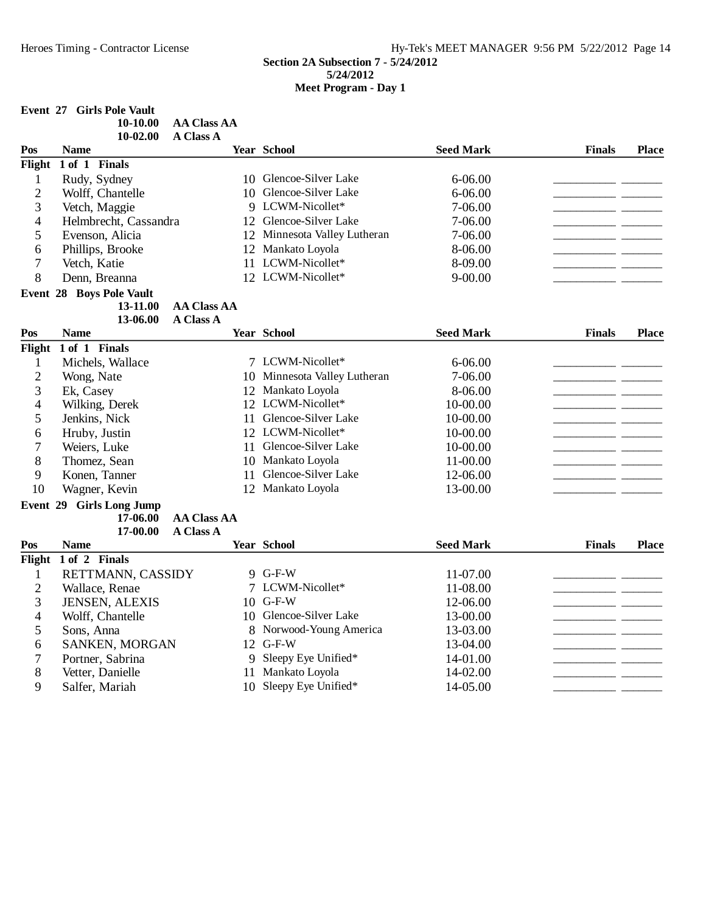# **Event 27 Girls Pole Vault**

| $10-02.00$ A Class A<br>Pos<br><b>Seed Mark</b><br><b>Year School</b><br>Name | <b>Finals</b><br><b>Place</b> |
|-------------------------------------------------------------------------------|-------------------------------|
|                                                                               |                               |
|                                                                               |                               |
| $10-10.00$<br>AA Class AA                                                     |                               |

| Flight         | 1 of 1 Finals                   |                    |    |                              |                  |               |              |
|----------------|---------------------------------|--------------------|----|------------------------------|------------------|---------------|--------------|
| 1              | Rudy, Sydney                    |                    |    | 10 Glencoe-Silver Lake       | $6 - 06.00$      |               |              |
| $\overline{2}$ | Wolff, Chantelle                |                    | 10 | Glencoe-Silver Lake          | $6 - 06.00$      |               |              |
| 3              | Vetch, Maggie                   |                    |    | 9 LCWM-Nicollet*             | 7-06.00          |               |              |
| 4              | Helmbrecht, Cassandra           |                    | 12 | Glencoe-Silver Lake          | 7-06.00          |               |              |
| 5              | Evenson, Alicia                 |                    | 12 | Minnesota Valley Lutheran    | 7-06.00          |               |              |
| 6              | Phillips, Brooke                |                    | 12 | Mankato Loyola               | 8-06.00          |               |              |
| 7              | Vetch, Katie                    |                    |    | 11 LCWM-Nicollet*            | 8-09.00          |               |              |
| 8              | Denn, Breanna                   |                    |    | 12 LCWM-Nicollet*            | $9 - 00.00$      |               |              |
|                | <b>Event 28 Boys Pole Vault</b> |                    |    |                              |                  |               |              |
|                | 13-11.00                        | <b>AA Class AA</b> |    |                              |                  |               |              |
|                | 13-06.00                        | <b>A Class A</b>   |    |                              |                  |               |              |
| Pos            | <b>Name</b>                     |                    |    | Year School                  | <b>Seed Mark</b> | <b>Finals</b> | <b>Place</b> |
| Flight         | 1 of 1 Finals                   |                    |    |                              |                  |               |              |
| 1              | Michels, Wallace                |                    |    | 7 LCWM-Nicollet*             | $6 - 06.00$      |               |              |
| $\overline{c}$ | Wong, Nate                      |                    |    | 10 Minnesota Valley Lutheran | 7-06.00          |               |              |
| 3              | Ek, Casey                       |                    |    | 12 Mankato Loyola            | 8-06.00          |               |              |
| 4              | Wilking, Derek                  |                    |    | 12 LCWM-Nicollet*            | 10-00.00         |               |              |
| 5              | Jenkins, Nick                   |                    | 11 | Glencoe-Silver Lake          | 10-00.00         |               |              |
| 6              | Hruby, Justin                   |                    |    | 12 LCWM-Nicollet*            | 10-00.00         |               |              |
| 7              | Weiers, Luke                    |                    | 11 | Glencoe-Silver Lake          | 10-00.00         |               |              |
| 8              | Thomez, Sean                    |                    |    | 10 Mankato Loyola            | 11-00.00         |               |              |
| 9              | Konen, Tanner                   |                    | 11 | Glencoe-Silver Lake          | 12-06.00         |               |              |
| 10             | Wagner, Kevin                   |                    |    | 12 Mankato Loyola            | 13-00.00         |               |              |
|                | Event 29 Girls Long Jump        |                    |    |                              |                  |               |              |
|                | 17-06.00                        | <b>AA Class AA</b> |    |                              |                  |               |              |
|                | 17-00.00                        | <b>A Class A</b>   |    |                              |                  |               |              |
| Pos            | <b>Name</b>                     |                    |    | Year School                  | <b>Seed Mark</b> | <b>Finals</b> | <b>Place</b> |
| Flight         | 1 of 2 Finals                   |                    |    |                              |                  |               |              |
| 1              | RETTMANN, CASSIDY               |                    |    | 9 G-F-W                      | 11-07.00         |               |              |
| $\overline{2}$ | Wallace, Renae                  |                    |    | 7 LCWM-Nicollet*             | 11-08.00         |               |              |
| 3              | JENSEN, ALEXIS                  |                    |    | 10 G-F-W                     | 12-06.00         |               |              |
| 4              | Wolff, Chantelle                |                    |    | 10 Glencoe-Silver Lake       | 13-00.00         |               |              |
| 5              | Sons, Anna                      |                    |    | 8 Norwood-Young America      | 13-03.00         |               |              |
| 6              | SANKEN, MORGAN                  |                    |    | 12 G-F-W                     | 13-04.00         |               |              |
| 7              | Portner, Sabrina                |                    | 9  | Sleepy Eye Unified*          | 14-01.00         |               |              |
| 8              | Vetter, Danielle                |                    |    | 11 Mankato Loyola            | 14-02.00         |               |              |

9 Salfer, Mariah 10 Sleepy Eye Unified\* 14-05.00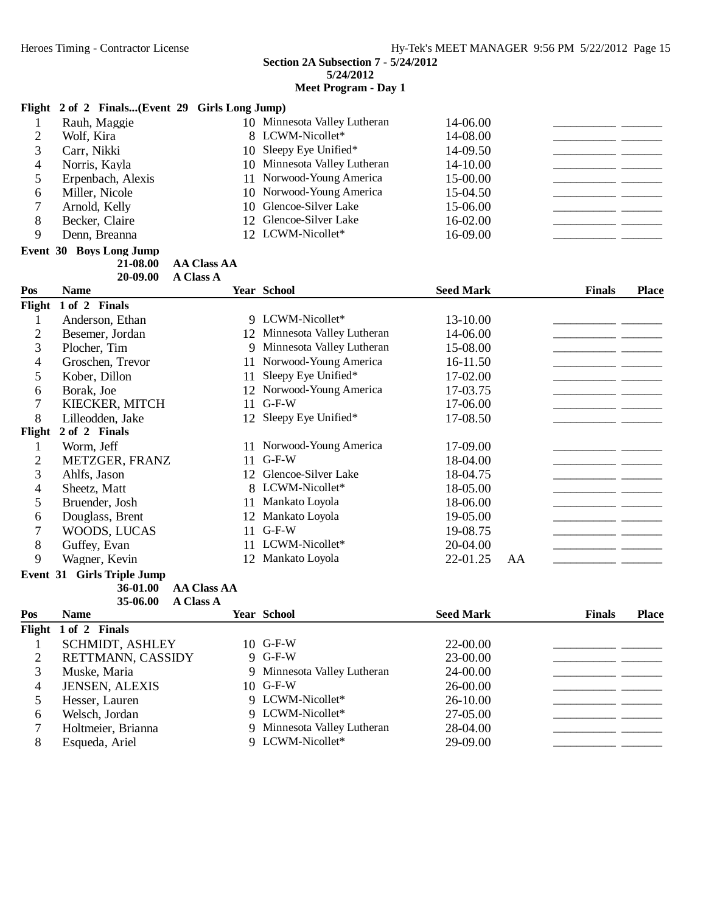**Meet Program - Day 1**

#### **Flight 2 of 2 Finals...(Event 29 Girls Long Jump)**

|   | Rauh, Maggie      | 10 Minnesota Valley Lutheran | 14-06.00 |
|---|-------------------|------------------------------|----------|
|   | Wolf, Kira        | 8 LCWM-Nicollet*             | 14-08.00 |
|   | Carr, Nikki       | 10 Sleepy Eye Unified*       | 14-09.50 |
|   | Norris, Kayla     | 10 Minnesota Valley Lutheran | 14-10.00 |
|   | Erpenbach, Alexis | 11 Norwood-Young America     | 15-00.00 |
|   | Miller, Nicole    | 10 Norwood-Young America     | 15-04.50 |
|   | Arnold, Kelly     | 10 Glencoe-Silver Lake       | 15-06.00 |
| 8 | Becker, Claire    | 12 Glencoe-Silver Lake       | 16-02.00 |
|   | Denn, Breanna     | 12 LCWM-Nicollet*            | 16-09.00 |
|   |                   |                              |          |

# **Event 30 Boys Long Jump 21-08.00**

**21-08.00 AA Class AA A Class A20-09.00**

| Pos            | <b>Name</b>                       |                    | <b>Year School</b>           | <b>Seed Mark</b> |    | <b>Finals</b> | <b>Place</b> |
|----------------|-----------------------------------|--------------------|------------------------------|------------------|----|---------------|--------------|
|                | Flight 1 of 2 Finals              |                    |                              |                  |    |               |              |
| 1              | Anderson, Ethan                   |                    | 9 LCWM-Nicollet*             | 13-10.00         |    |               |              |
| 2              | Besemer, Jordan                   |                    | 12 Minnesota Valley Lutheran | 14-06.00         |    |               |              |
| 3              | Plocher, Tim                      | 9                  | Minnesota Valley Lutheran    | 15-08.00         |    |               |              |
| 4              | Groschen, Trevor                  | 11                 | Norwood-Young America        | 16-11.50         |    |               |              |
| 5              | Kober, Dillon                     | 11                 | Sleepy Eye Unified*          | 17-02.00         |    |               |              |
| 6              | Borak, Joe                        | 12                 | Norwood-Young America        | 17-03.75         |    |               |              |
| 7              | KIECKER, MITCH                    | 11                 | $G-F-W$                      | 17-06.00         |    |               |              |
| 8              | Lilleodden, Jake                  | 12                 | Sleepy Eye Unified*          | 17-08.50         |    |               |              |
| Flight         | 2 of 2 Finals                     |                    |                              |                  |    |               |              |
| 1              | Worm, Jeff                        | 11.                | Norwood-Young America        | 17-09.00         |    |               |              |
| $\overline{c}$ | METZGER, FRANZ                    | 11                 | $G-F-W$                      | 18-04.00         |    |               |              |
| 3              | Ahlfs, Jason                      | 12 <sub>1</sub>    | Glencoe-Silver Lake          | 18-04.75         |    |               |              |
| 4              | Sheetz, Matt                      | 8                  | LCWM-Nicollet*               | 18-05.00         |    |               |              |
| 5              | Bruender, Josh                    | 11                 | Mankato Loyola               | 18-06.00         |    |               |              |
| 6              | Douglass, Brent                   | 12                 | Mankato Loyola               | 19-05.00         |    |               |              |
| 7              | WOODS, LUCAS                      | 11                 | $G-F-W$                      | 19-08.75         |    |               |              |
| 8              | Guffey, Evan                      | 11                 | LCWM-Nicollet*               | 20-04.00         |    |               |              |
| 9              | Wagner, Kevin                     | 12                 | Mankato Loyola               | 22-01.25         | AA |               |              |
|                | <b>Event 31 Girls Triple Jump</b> |                    |                              |                  |    |               |              |
|                | 36-01.00                          | <b>AA Class AA</b> |                              |                  |    |               |              |
|                | 35-06.00<br><b>A Class A</b>      |                    |                              |                  |    |               |              |
| Pos            | <b>Name</b>                       |                    | <b>Year School</b>           | <b>Seed Mark</b> |    | <b>Finals</b> | <b>Place</b> |
|                | Flight 1 of 2 Finals              |                    |                              |                  |    |               |              |
| 1              | SCHMIDT, ASHLEY                   | 10                 | $G-F-W$                      | 22-00.00         |    |               |              |
| $\overline{c}$ | RETTMANN, CASSIDY                 | $\mathbf{Q}$       | $G-F-W$                      | 23-00.00         |    |               |              |
| 3              | Muske, Maria                      | 9                  | Minnesota Valley Lutheran    | 24-00.00         |    |               |              |
| 4              | JENSEN, ALEXIS                    | 10                 | $G-F-W$                      | 26-00.00         |    |               |              |
| 5              | Hesser, Lauren                    |                    | 9 LCWM-Nicollet*             | 26-10.00         |    |               |              |
| 6              | Welsch, Jordan                    |                    | 9 LCWM-Nicollet*             | 27-05.00         |    |               |              |
| 7              | Holtmeier, Brianna                | 9                  | Minnesota Valley Lutheran    | 28-04.00         |    |               |              |
| 8              | Esqueda, Ariel                    |                    | 9 LCWM-Nicollet*             | 29-09.00         |    |               |              |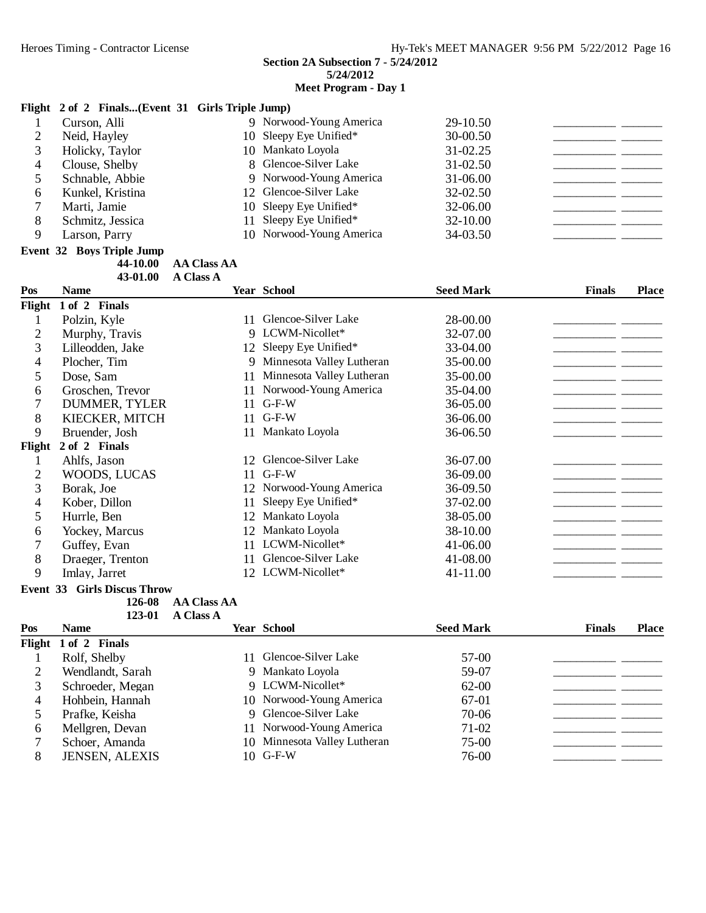#### **Meet Program - Day 1**

#### **Flight 2 of 2 Finals...(Event 31 Girls Triple Jump)**

|   | Curson, Alli     | 9 Norwood-Young America  | $29-10.50$   |  |
|---|------------------|--------------------------|--------------|--|
|   | Neid, Hayley     | 10 Sleepy Eye Unified*   | $30 - 00.50$ |  |
|   | Holicky, Taylor  | 10 Mankato Loyola        | $31 - 02.25$ |  |
|   | Clouse, Shelby   | 8 Glencoe-Silver Lake    | $31 - 02.50$ |  |
|   | Schnable, Abbie  | 9 Norwood-Young America  | $31 - 06.00$ |  |
| O | Kunkel, Kristina | 12 Glencoe-Silver Lake   | 32-02.50     |  |
|   | Marti, Jamie     | 10 Sleepy Eye Unified*   | 32-06.00     |  |
| 8 | Schmitz, Jessica | 11 Sleepy Eye Unified*   | $32 - 10.00$ |  |
|   | Larson, Parry    | 10 Norwood-Young America | 34-03.50     |  |
|   |                  |                          |              |  |

# **Event 32 Boys Triple Jump**<br>44-10.00

**44-10.00 AA Class AA 43-01.00 • A Class A** 

| Pos            | <b>Name</b>      |    | Year School               | <b>Seed Mark</b> | <b>Finals</b> | <b>Place</b> |
|----------------|------------------|----|---------------------------|------------------|---------------|--------------|
| Flight         | 1 of 2 Finals    |    |                           |                  |               |              |
|                | Polzin, Kyle     | 11 | Glencoe-Silver Lake       | 28-00.00         |               |              |
| 2              | Murphy, Travis   |    | 9 LCWM-Nicollet*          | 32-07.00         |               |              |
| 3              | Lilleodden, Jake | 12 | Sleepy Eye Unified*       | 33-04.00         |               |              |
| 4              | Plocher, Tim     | 9  | Minnesota Valley Lutheran | 35-00.00         |               |              |
| 5              | Dose, Sam        | 11 | Minnesota Valley Lutheran | 35-00.00         |               |              |
| 6              | Groschen, Trevor |    | Norwood-Young America     | 35-04.00         |               |              |
|                | DUMMER, TYLER    | 11 | $G-F-W$                   | 36-05.00         |               |              |
| 8              | KIECKER, MITCH   | 11 | $G-F-W$                   | 36-06.00         |               |              |
| 9              | Bruender, Josh   | 11 | Mankato Loyola            | 36-06.50         |               |              |
| Flight         | 2 of 2 Finals    |    |                           |                  |               |              |
|                | Ahlfs, Jason     | 12 | Glencoe-Silver Lake       | 36-07.00         |               |              |
| $\overline{2}$ | WOODS, LUCAS     | 11 | $G-F-W$                   | 36-09.00         |               |              |
| 3              | Borak, Joe       | 12 | Norwood-Young America     | 36-09.50         |               |              |
| 4              | Kober, Dillon    | 11 | Sleepy Eye Unified*       | 37-02.00         |               |              |
| 5              | Hurrle, Ben      | 12 | Mankato Loyola            | 38-05.00         |               |              |
| 6              | Yockey, Marcus   | 12 | Mankato Loyola            | 38-10.00         |               |              |
|                | Guffey, Evan     | 11 | LCWM-Nicollet*            | 41-06.00         |               |              |
| 8              | Draeger, Trenton | 11 | Glencoe-Silver Lake       | 41-08.00         |               |              |
| 9              | Imlay, Jarret    |    | 12 LCWM-Nicollet*         | 41-11.00         |               |              |

**Event 33 Girls Discus Throw**

**126-08 AA Class AA** 

| 123-01 | <b>A Class A</b> |
|--------|------------------|
|--------|------------------|

| Pos    | <b>Name</b>           | <b>Year School</b>           | <b>Seed Mark</b> | <b>Finals</b> | <b>Place</b> |
|--------|-----------------------|------------------------------|------------------|---------------|--------------|
| Flight | 1 of 2 Finals         |                              |                  |               |              |
|        | Rolf, Shelby          | 11 Glencoe-Silver Lake       | 57-00            |               |              |
| 2      | Wendlandt, Sarah      | 9 Mankato Loyola             | 59-07            |               |              |
| 3      | Schroeder, Megan      | 9 LCWM-Nicollet*             | $62-00$          |               |              |
| 4      | Hohbein, Hannah       | 10 Norwood-Young America     | 67-01            |               |              |
|        | Prafke, Keisha        | 9 Glencoe-Silver Lake        | 70-06            |               |              |
| 6      | Mellgren, Devan       | 11 Norwood-Young America     | $71-02$          |               |              |
|        | Schoer, Amanda        | 10 Minnesota Valley Lutheran | 75-00            |               |              |
| 8      | <b>JENSEN, ALEXIS</b> | $10$ G-F-W                   | 76-00            |               |              |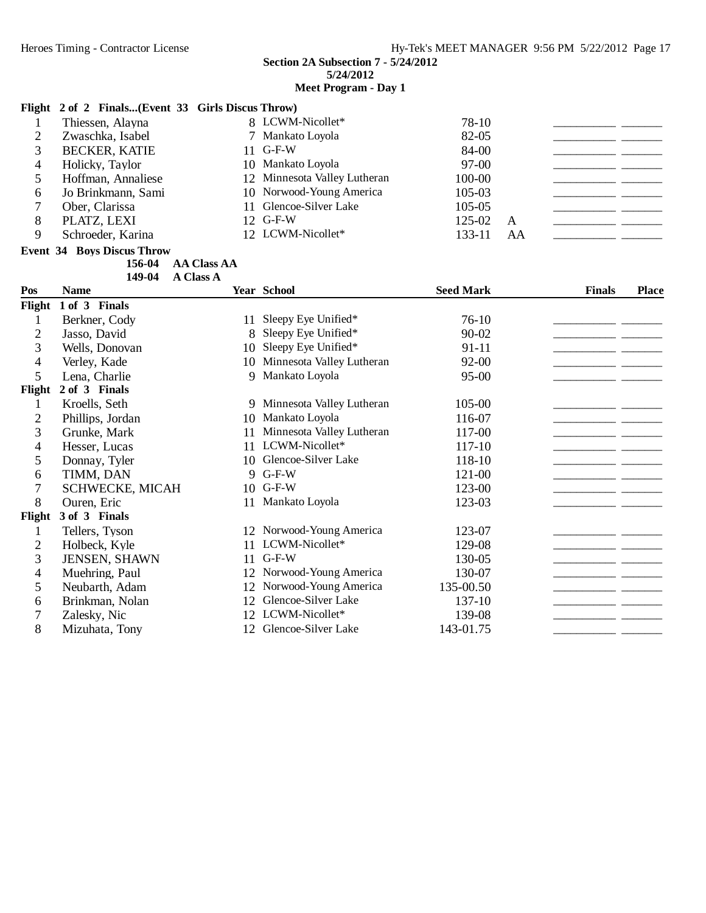# **Meet Program - Day 1**

# **Flight 2 of 2 Finals...(Event 33 Girls Discus Throw)**

| Thiessen, Alayna     |  | 78-10                                                                                                                                                                                          |    |  |
|----------------------|--|------------------------------------------------------------------------------------------------------------------------------------------------------------------------------------------------|----|--|
| Zwaschka, Isabel     |  | 82-05                                                                                                                                                                                          |    |  |
| <b>BECKER, KATIE</b> |  | 84-00                                                                                                                                                                                          |    |  |
| Holicky, Taylor      |  | $97-00$                                                                                                                                                                                        |    |  |
| Hoffman, Annaliese   |  | 100-00                                                                                                                                                                                         |    |  |
| Jo Brinkmann, Sami   |  | 105-03                                                                                                                                                                                         |    |  |
| Ober, Clarissa       |  | 105-05                                                                                                                                                                                         |    |  |
| PLATZ, LEXI          |  | 125-02                                                                                                                                                                                         | A  |  |
| Schroeder, Karina    |  | 133-11                                                                                                                                                                                         | AA |  |
|                      |  | 8 LCWM-Nicollet*<br>7 Mankato Loyola<br>$11$ G-F-W<br>10 Mankato Loyola<br>12 Minnesota Valley Lutheran<br>10 Norwood-Young America<br>11 Glencoe-Silver Lake<br>12 G-F-W<br>12 LCWM-Nicollet* |    |  |

#### **Event 34 Boys Discus Throw**

**156-04 AA Class AA** 149-04 **A Class A** 

| Pos            | <b>Name</b>      |     | Year School               | <b>Seed Mark</b> | <b>Finals</b> | <b>Place</b> |
|----------------|------------------|-----|---------------------------|------------------|---------------|--------------|
| Flight         | 1 of 3 Finals    |     |                           |                  |               |              |
| 1              | Berkner, Cody    | 11  | Sleepy Eye Unified*       | $76-10$          |               |              |
| 2              | Jasso, David     | 8   | Sleepy Eye Unified*       | $90 - 02$        |               |              |
| 3              | Wells, Donovan   | 10  | Sleepy Eye Unified*       | 91-11            |               |              |
| 4              | Verley, Kade     | 10  | Minnesota Valley Lutheran | 92-00            |               |              |
| 5              | Lena, Charlie    | 9   | Mankato Loyola            | $95 - 00$        |               |              |
| Flight         | 2 of 3 Finals    |     |                           |                  |               |              |
| 1              | Kroells, Seth    | 9   | Minnesota Valley Lutheran | 105-00           |               |              |
| $\overline{2}$ | Phillips, Jordan | 10  | Mankato Loyola            | 116-07           |               |              |
| 3              | Grunke, Mark     | 11  | Minnesota Valley Lutheran | 117-00           |               |              |
| 4              | Hesser, Lucas    | 11  | LCWM-Nicollet*            | 117-10           |               |              |
| 5              | Donnay, Tyler    |     | 10 Glencoe-Silver Lake    | 118-10           |               |              |
| 6              | TIMM, DAN        |     | 9 G-F-W                   | 121-00           |               |              |
| 7              | SCHWECKE, MICAH  |     | 10 G-F-W                  | 123-00           |               |              |
| 8              | Ouren, Eric      | 11  | Mankato Loyola            | 123-03           |               |              |
| Flight         | 3 of 3 Finals    |     |                           |                  |               |              |
|                | Tellers, Tyson   | 12  | Norwood-Young America     | 123-07           |               |              |
| $\overline{2}$ | Holbeck, Kyle    | 11. | LCWM-Nicollet*            | 129-08           |               |              |
| 3              | JENSEN, SHAWN    | 11  | $G-F-W$                   | 130-05           |               |              |
| 4              | Muehring, Paul   | 12  | Norwood-Young America     | 130-07           |               |              |
| 5              | Neubarth, Adam   | 12  | Norwood-Young America     | 135-00.50        |               |              |
| 6              | Brinkman, Nolan  | 12  | Glencoe-Silver Lake       | 137-10           |               |              |
| 7              | Zalesky, Nic     | 12  | LCWM-Nicollet*            | 139-08           |               |              |
| 8              | Mizuhata, Tony   | 12  | Glencoe-Silver Lake       | 143-01.75        |               |              |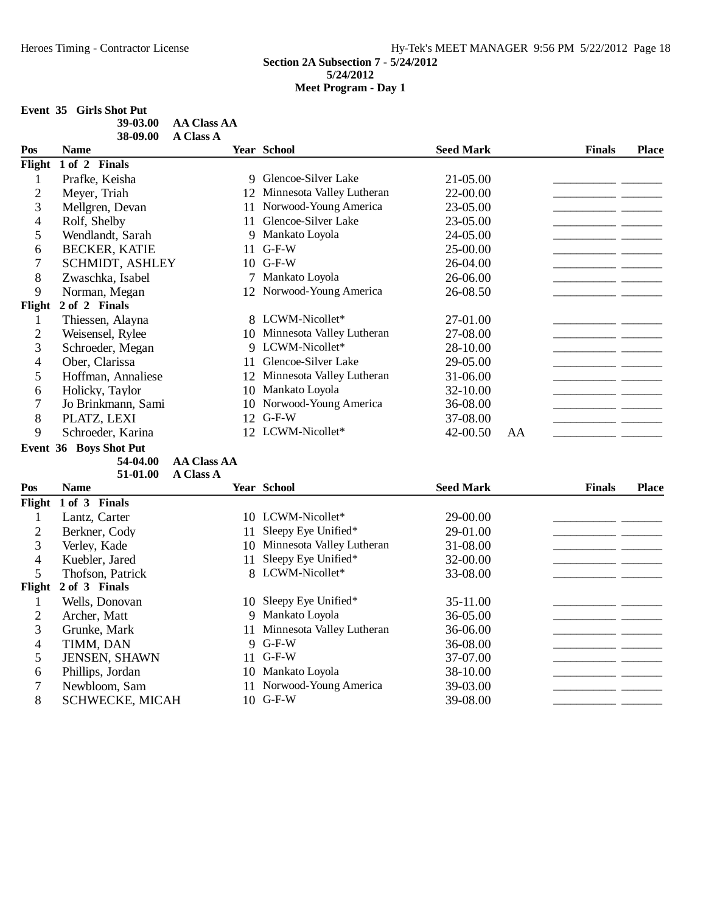## **Event 35 Girls Shot Put**

| 39-03.00 | AA Class AA      |
|----------|------------------|
| 38-09.00 | <b>A Class A</b> |

| Pos    | <b>Name</b>            |    | <b>Year School</b>           | <b>Seed Mark</b> |    | <b>Finals</b> | <b>Place</b> |
|--------|------------------------|----|------------------------------|------------------|----|---------------|--------------|
| Flight | 1 of 2 Finals          |    |                              |                  |    |               |              |
|        | Prafke, Keisha         | 9. | Glencoe-Silver Lake          | 21-05.00         |    |               |              |
| 2      | Meyer, Triah           | 12 | Minnesota Valley Lutheran    | 22-00.00         |    |               |              |
| 3      | Mellgren, Devan        | 11 | Norwood-Young America        | 23-05.00         |    |               |              |
| 4      | Rolf, Shelby           | 11 | Glencoe-Silver Lake          | 23-05.00         |    |               |              |
| 5      | Wendlandt, Sarah       | 9  | Mankato Loyola               | 24-05.00         |    |               |              |
| 6      | <b>BECKER, KATIE</b>   | 11 | $G-F-W$                      | 25-00.00         |    |               |              |
| 7      | <b>SCHMIDT, ASHLEY</b> | 10 | $G-F-W$                      | 26-04.00         |    |               |              |
| 8      | Zwaschka, Isabel       |    | Mankato Loyola               | 26-06.00         |    |               |              |
| 9      | Norman, Megan          |    | 12 Norwood-Young America     | 26-08.50         |    |               |              |
| Flight | 2 of 2 Finals          |    |                              |                  |    |               |              |
|        | Thiessen, Alayna       |    | 8 LCWM-Nicollet*             | 27-01.00         |    |               |              |
| 2      | Weisensel, Rylee       |    | 10 Minnesota Valley Lutheran | 27-08.00         |    |               |              |
| 3      | Schroeder, Megan       |    | 9 LCWM-Nicollet*             | 28-10.00         |    |               |              |
| 4      | Ober, Clarissa         | 11 | Glencoe-Silver Lake          | 29-05.00         |    |               |              |
| 5      | Hoffman, Annaliese     | 12 | Minnesota Valley Lutheran    | 31-06.00         |    |               |              |
| 6      | Holicky, Taylor        | 10 | Mankato Loyola               | 32-10.00         |    |               |              |
|        | Jo Brinkmann, Sami     | 10 | Norwood-Young America        | 36-08.00         |    |               |              |
| 8      | PLATZ, LEXI            | 12 | $G-F-W$                      | 37-08.00         |    |               |              |
| 9      | Schroeder, Karina      | 12 | LCWM-Nicollet*               | 42-00.50         | AA |               |              |

**Event 36 Boys Shot Put**

54-04.00 AA Class AA 51-01.00 A Class A

| Pos    | <b>Name</b>            |    | <b>Year School</b>           | <b>Seed Mark</b> | <b>Finals</b> | <b>Place</b> |
|--------|------------------------|----|------------------------------|------------------|---------------|--------------|
| Flight | 1 of 3 Finals          |    |                              |                  |               |              |
|        | Lantz, Carter          |    | 10 LCWM-Nicollet*            | 29-00.00         |               |              |
| 2      | Berkner, Cody          |    | Sleepy Eye Unified*          | 29-01.00         |               |              |
| 3      | Verley, Kade           | 10 | Minnesota Valley Lutheran    | 31-08.00         |               |              |
| 4      | Kuebler, Jared         | 11 | Sleepy Eye Unified*          | 32-00.00         |               |              |
| 5      | Thofson, Patrick       |    | 8 LCWM-Nicollet*             | 33-08.00         |               |              |
| Flight | 2 of 3 Finals          |    |                              |                  |               |              |
|        | Wells, Donovan         |    | 10 Sleepy Eye Unified*       | 35-11.00         |               |              |
| 2      | Archer, Matt           |    | 9 Mankato Loyola             | 36-05.00         |               |              |
| 3      | Grunke, Mark           |    | 11 Minnesota Valley Lutheran | 36-06.00         |               |              |
| 4      | TIMM, DAN              |    | 9 G-F-W                      | 36-08.00         |               |              |
| 5      | <b>JENSEN, SHAWN</b>   |    | 11 G-F-W                     | 37-07.00         |               |              |
| 6      | Phillips, Jordan       | 10 | Mankato Loyola               | 38-10.00         |               |              |
|        | Newbloom, Sam          |    | 11 Norwood-Young America     | 39-03.00         |               |              |
| 8      | <b>SCHWECKE, MICAH</b> |    | 10 G-F-W                     | 39-08.00         |               |              |